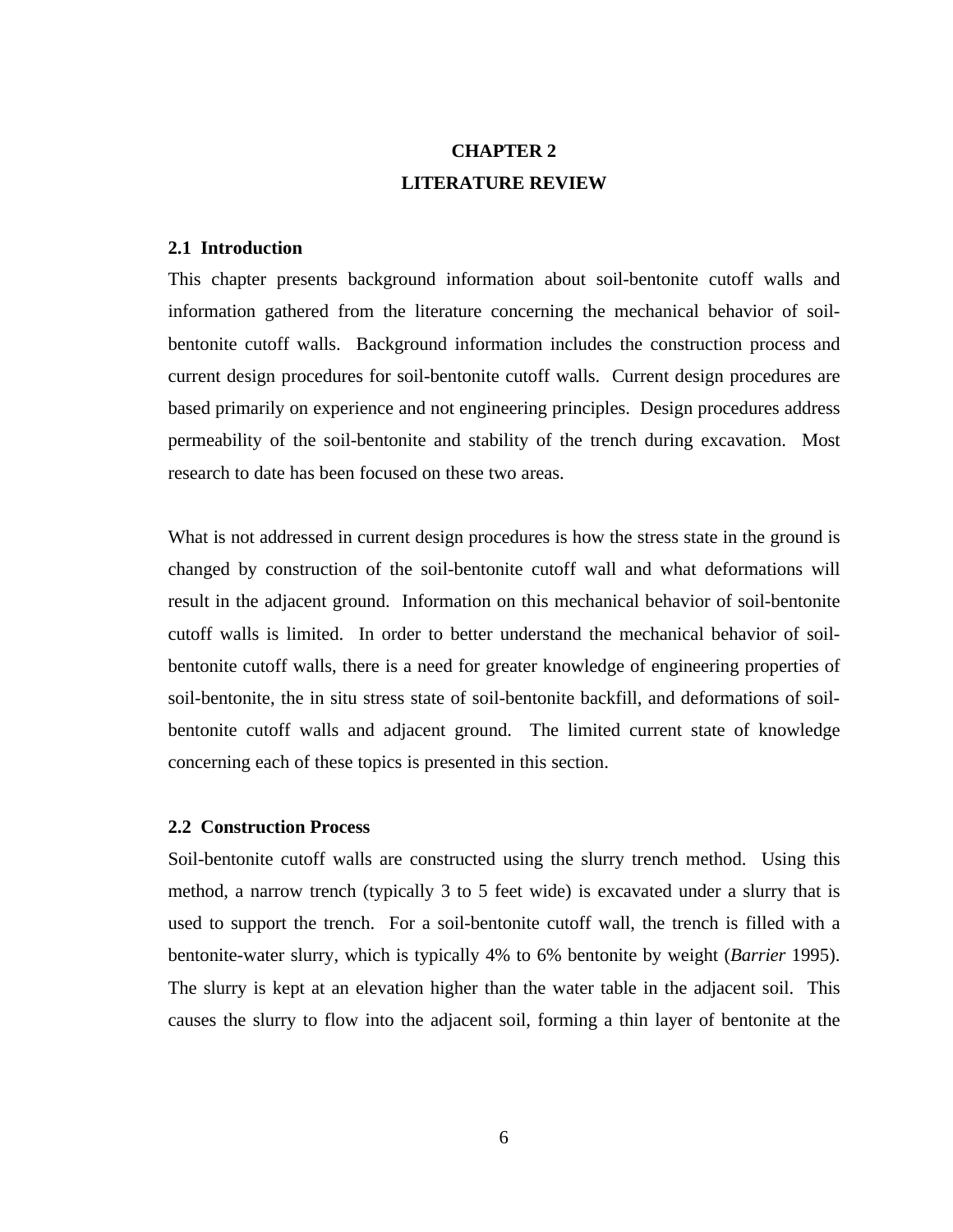# **CHAPTER 2 LITERATURE REVIEW**

# **2.1 Introduction**

This chapter presents background information about soil-bentonite cutoff walls and information gathered from the literature concerning the mechanical behavior of soilbentonite cutoff walls. Background information includes the construction process and current design procedures for soil-bentonite cutoff walls. Current design procedures are based primarily on experience and not engineering principles. Design procedures address permeability of the soil-bentonite and stability of the trench during excavation. Most research to date has been focused on these two areas.

What is not addressed in current design procedures is how the stress state in the ground is changed by construction of the soil-bentonite cutoff wall and what deformations will result in the adjacent ground. Information on this mechanical behavior of soil-bentonite cutoff walls is limited. In order to better understand the mechanical behavior of soilbentonite cutoff walls, there is a need for greater knowledge of engineering properties of soil-bentonite, the in situ stress state of soil-bentonite backfill, and deformations of soilbentonite cutoff walls and adjacent ground. The limited current state of knowledge concerning each of these topics is presented in this section.

#### **2.2 Construction Process**

Soil-bentonite cutoff walls are constructed using the slurry trench method. Using this method, a narrow trench (typically 3 to 5 feet wide) is excavated under a slurry that is used to support the trench. For a soil-bentonite cutoff wall, the trench is filled with a bentonite-water slurry, which is typically 4% to 6% bentonite by weight (*Barrier* 1995). The slurry is kept at an elevation higher than the water table in the adjacent soil. This causes the slurry to flow into the adjacent soil, forming a thin layer of bentonite at the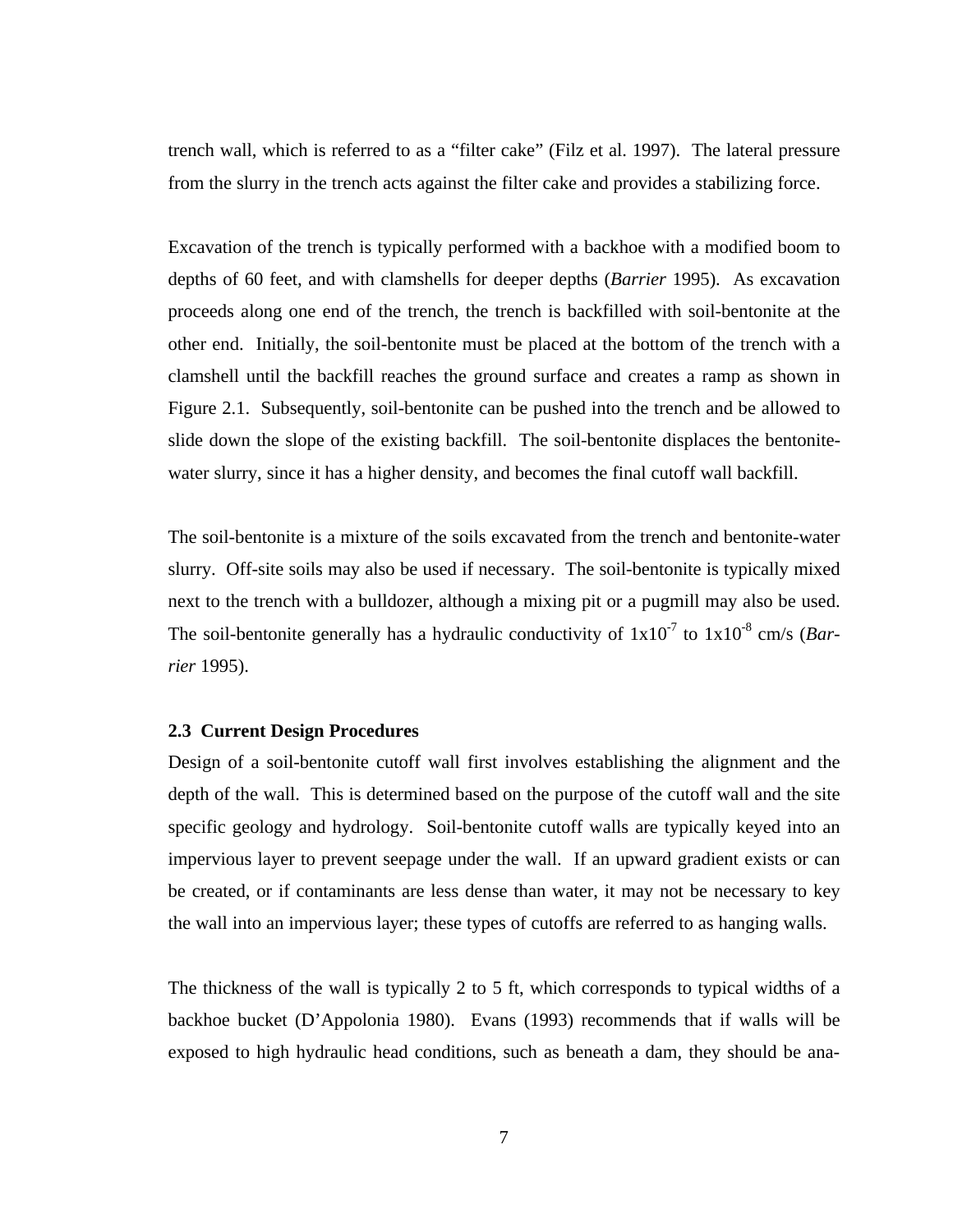trench wall, which is referred to as a "filter cake" (Filz et al. 1997). The lateral pressure from the slurry in the trench acts against the filter cake and provides a stabilizing force.

Excavation of the trench is typically performed with a backhoe with a modified boom to depths of 60 feet, and with clamshells for deeper depths (*Barrier* 1995). As excavation proceeds along one end of the trench, the trench is backfilled with soil-bentonite at the other end. Initially, the soil-bentonite must be placed at the bottom of the trench with a clamshell until the backfill reaches the ground surface and creates a ramp as shown in Figure 2.1. Subsequently, soil-bentonite can be pushed into the trench and be allowed to slide down the slope of the existing backfill. The soil-bentonite displaces the bentonitewater slurry, since it has a higher density, and becomes the final cutoff wall backfill.

The soil-bentonite is a mixture of the soils excavated from the trench and bentonite-water slurry. Off-site soils may also be used if necessary. The soil-bentonite is typically mixed next to the trench with a bulldozer, although a mixing pit or a pugmill may also be used. The soil-bentonite generally has a hydraulic conductivity of  $1x10^{-7}$  to  $1x10^{-8}$  cm/s (*Barrier* 1995).

#### **2.3 Current Design Procedures**

Design of a soil-bentonite cutoff wall first involves establishing the alignment and the depth of the wall. This is determined based on the purpose of the cutoff wall and the site specific geology and hydrology. Soil-bentonite cutoff walls are typically keyed into an impervious layer to prevent seepage under the wall. If an upward gradient exists or can be created, or if contaminants are less dense than water, it may not be necessary to key the wall into an impervious layer; these types of cutoffs are referred to as hanging walls.

The thickness of the wall is typically 2 to 5 ft, which corresponds to typical widths of a backhoe bucket (D'Appolonia 1980). Evans (1993) recommends that if walls will be exposed to high hydraulic head conditions, such as beneath a dam, they should be ana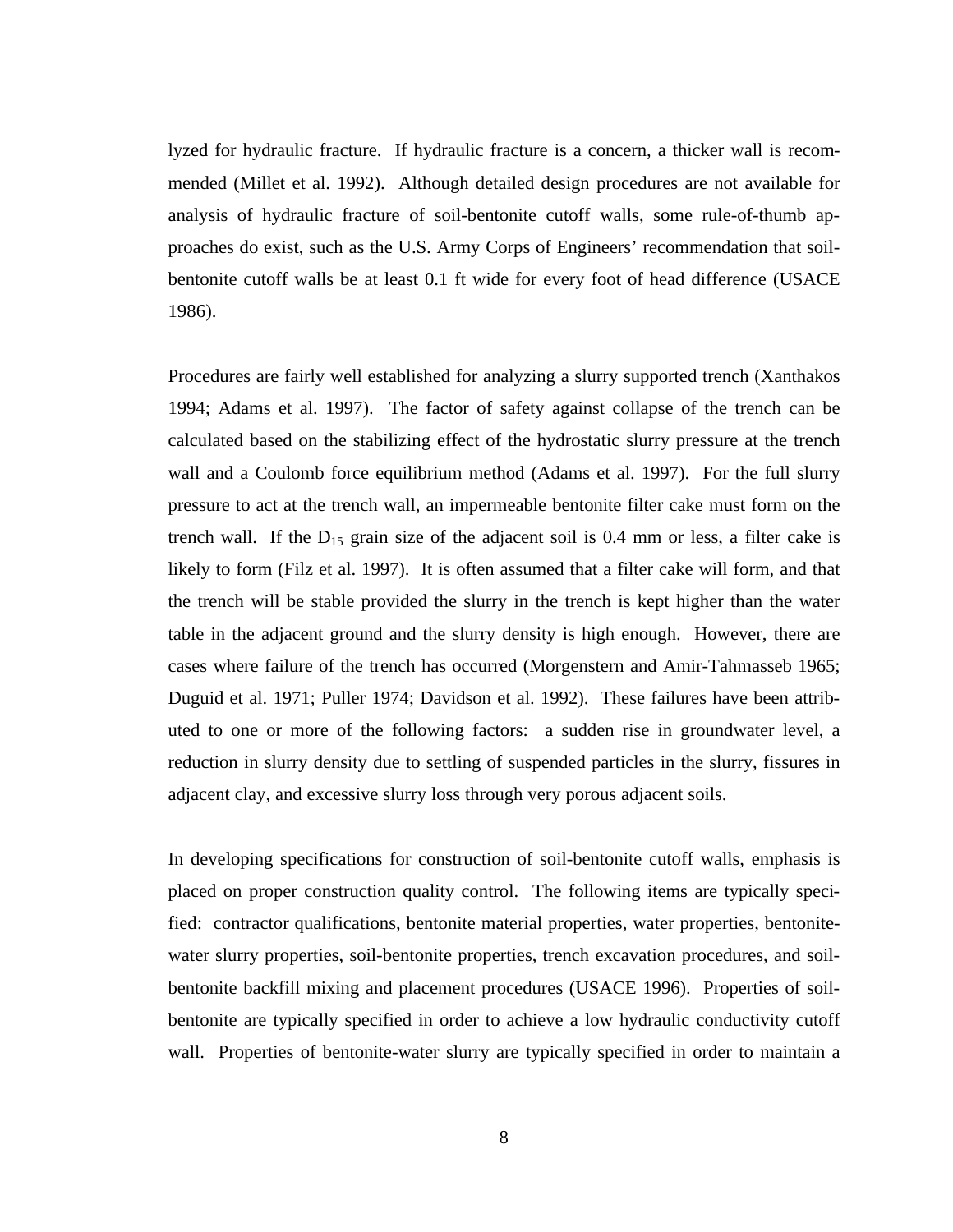lyzed for hydraulic fracture. If hydraulic fracture is a concern, a thicker wall is recommended (Millet et al. 1992). Although detailed design procedures are not available for analysis of hydraulic fracture of soil-bentonite cutoff walls, some rule-of-thumb approaches do exist, such as the U.S. Army Corps of Engineers' recommendation that soilbentonite cutoff walls be at least 0.1 ft wide for every foot of head difference (USACE 1986).

Procedures are fairly well established for analyzing a slurry supported trench (Xanthakos 1994; Adams et al. 1997). The factor of safety against collapse of the trench can be calculated based on the stabilizing effect of the hydrostatic slurry pressure at the trench wall and a Coulomb force equilibrium method (Adams et al. 1997). For the full slurry pressure to act at the trench wall, an impermeable bentonite filter cake must form on the trench wall. If the  $D_{15}$  grain size of the adjacent soil is 0.4 mm or less, a filter cake is likely to form (Filz et al. 1997). It is often assumed that a filter cake will form, and that the trench will be stable provided the slurry in the trench is kept higher than the water table in the adjacent ground and the slurry density is high enough. However, there are cases where failure of the trench has occurred (Morgenstern and Amir-Tahmasseb 1965; Duguid et al. 1971; Puller 1974; Davidson et al. 1992). These failures have been attributed to one or more of the following factors: a sudden rise in groundwater level, a reduction in slurry density due to settling of suspended particles in the slurry, fissures in adjacent clay, and excessive slurry loss through very porous adjacent soils.

In developing specifications for construction of soil-bentonite cutoff walls, emphasis is placed on proper construction quality control. The following items are typically specified: contractor qualifications, bentonite material properties, water properties, bentonitewater slurry properties, soil-bentonite properties, trench excavation procedures, and soilbentonite backfill mixing and placement procedures (USACE 1996). Properties of soilbentonite are typically specified in order to achieve a low hydraulic conductivity cutoff wall. Properties of bentonite-water slurry are typically specified in order to maintain a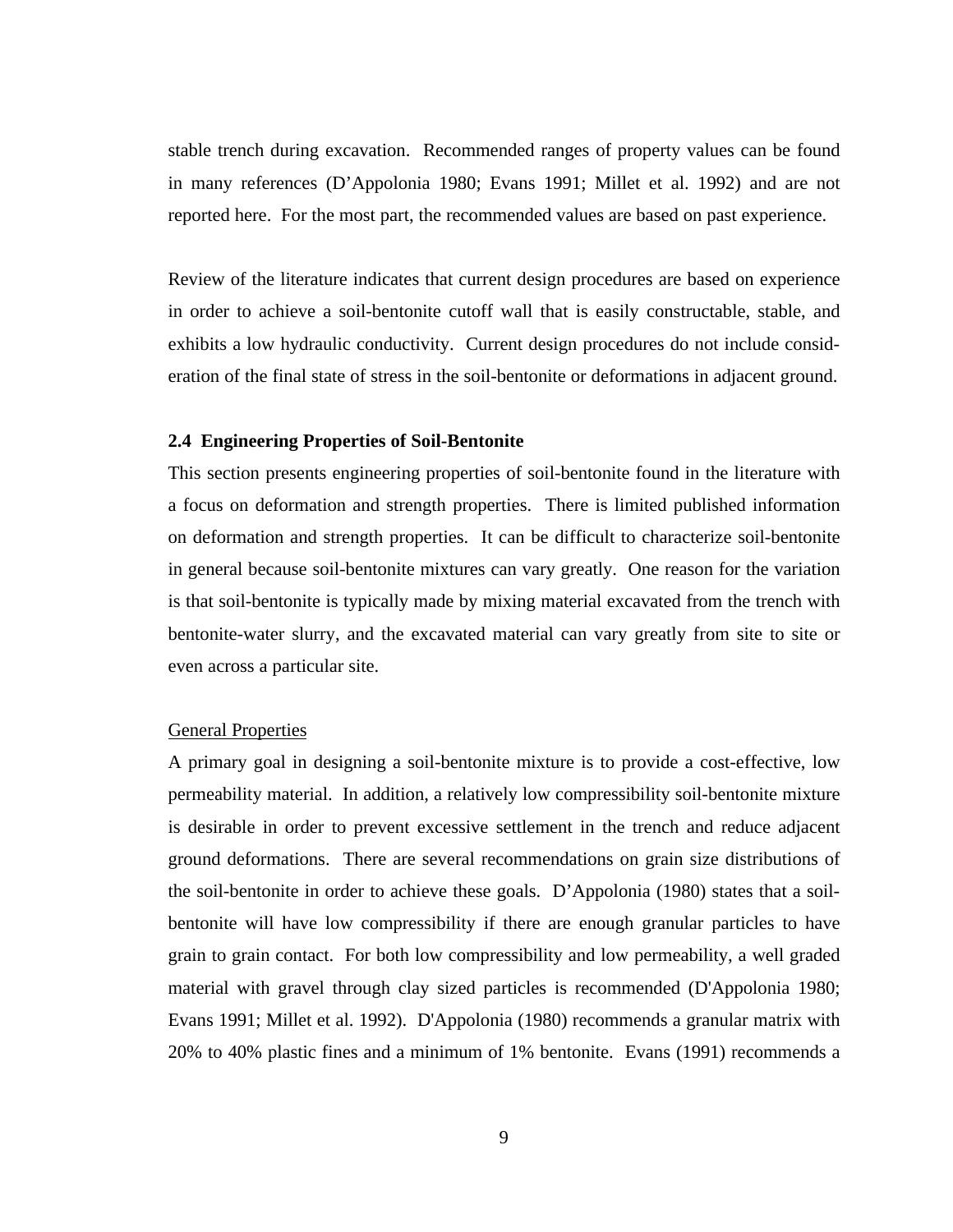stable trench during excavation. Recommended ranges of property values can be found in many references (D'Appolonia 1980; Evans 1991; Millet et al. 1992) and are not reported here. For the most part, the recommended values are based on past experience.

Review of the literature indicates that current design procedures are based on experience in order to achieve a soil-bentonite cutoff wall that is easily constructable, stable, and exhibits a low hydraulic conductivity. Current design procedures do not include consideration of the final state of stress in the soil-bentonite or deformations in adjacent ground.

## **2.4 Engineering Properties of Soil-Bentonite**

This section presents engineering properties of soil-bentonite found in the literature with a focus on deformation and strength properties. There is limited published information on deformation and strength properties. It can be difficult to characterize soil-bentonite in general because soil-bentonite mixtures can vary greatly. One reason for the variation is that soil-bentonite is typically made by mixing material excavated from the trench with bentonite-water slurry, and the excavated material can vary greatly from site to site or even across a particular site.

#### General Properties

A primary goal in designing a soil-bentonite mixture is to provide a cost-effective, low permeability material. In addition, a relatively low compressibility soil-bentonite mixture is desirable in order to prevent excessive settlement in the trench and reduce adjacent ground deformations. There are several recommendations on grain size distributions of the soil-bentonite in order to achieve these goals. D'Appolonia (1980) states that a soilbentonite will have low compressibility if there are enough granular particles to have grain to grain contact. For both low compressibility and low permeability, a well graded material with gravel through clay sized particles is recommended (D'Appolonia 1980; Evans 1991; Millet et al. 1992). D'Appolonia (1980) recommends a granular matrix with 20% to 40% plastic fines and a minimum of 1% bentonite. Evans (1991) recommends a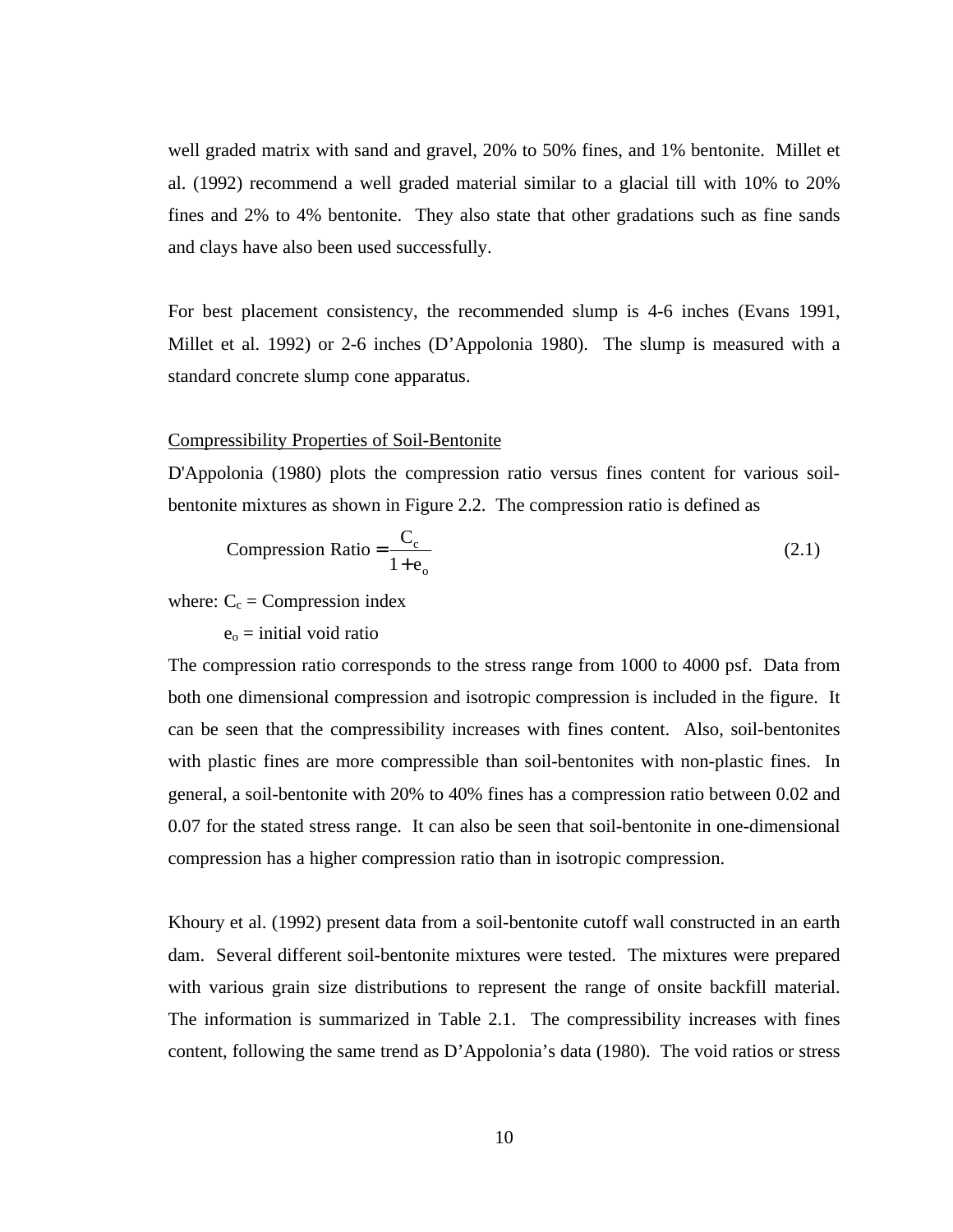well graded matrix with sand and gravel, 20% to 50% fines, and 1% bentonite. Millet et al. (1992) recommend a well graded material similar to a glacial till with 10% to 20% fines and 2% to 4% bentonite. They also state that other gradations such as fine sands and clays have also been used successfully.

For best placement consistency, the recommended slump is 4-6 inches (Evans 1991, Millet et al. 1992) or 2-6 inches (D'Appolonia 1980). The slump is measured with a standard concrete slump cone apparatus.

#### Compressibility Properties of Soil-Bentonite

D'Appolonia (1980) plots the compression ratio versus fines content for various soilbentonite mixtures as shown in Figure 2.2. The compression ratio is defined as

Compression Ratio = 
$$
\frac{C_c}{1 + e_o}
$$
 (2.1)

where:  $C_c$  = Compression index

 $e_0$  = initial void ratio

The compression ratio corresponds to the stress range from 1000 to 4000 psf. Data from both one dimensional compression and isotropic compression is included in the figure. It can be seen that the compressibility increases with fines content. Also, soil-bentonites with plastic fines are more compressible than soil-bentonites with non-plastic fines. In general, a soil-bentonite with 20% to 40% fines has a compression ratio between 0.02 and 0.07 for the stated stress range. It can also be seen that soil-bentonite in one-dimensional compression has a higher compression ratio than in isotropic compression.

Khoury et al. (1992) present data from a soil-bentonite cutoff wall constructed in an earth dam. Several different soil-bentonite mixtures were tested. The mixtures were prepared with various grain size distributions to represent the range of onsite backfill material. The information is summarized in Table 2.1. The compressibility increases with fines content, following the same trend as D'Appolonia's data (1980). The void ratios or stress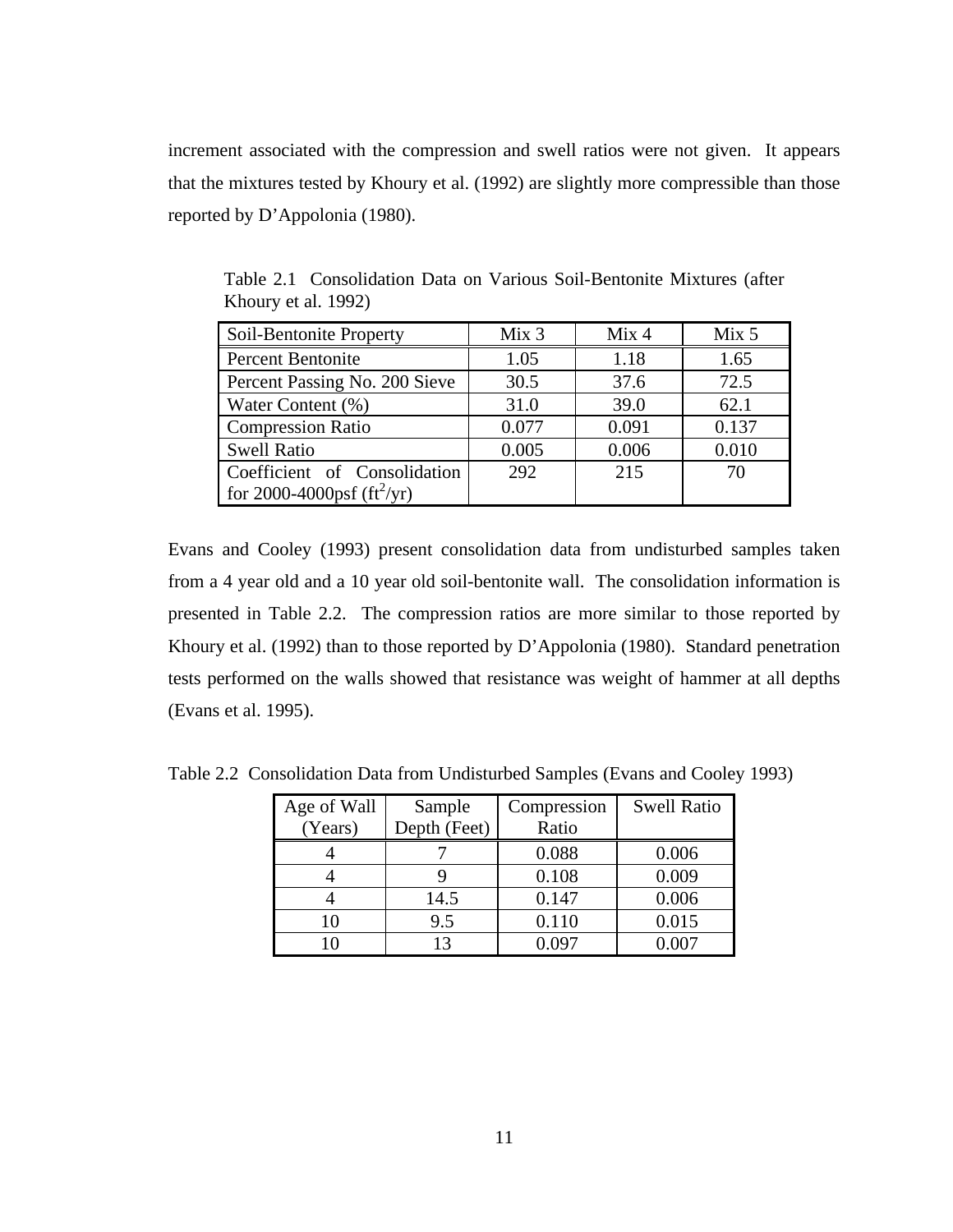increment associated with the compression and swell ratios were not given. It appears that the mixtures tested by Khoury et al. (1992) are slightly more compressible than those reported by D'Appolonia (1980).

| Soil-Bentonite Property                      | Mix 3 | Mix <sub>4</sub> | Mix 5 |
|----------------------------------------------|-------|------------------|-------|
| <b>Percent Bentonite</b>                     | 1.05  | 1.18             | 1.65  |
| Percent Passing No. 200 Sieve                | 30.5  | 37.6             | 72.5  |
| Water Content (%)                            | 31.0  | 39.0             | 62.1  |
| <b>Compression Ratio</b>                     | 0.077 | 0.091            | 0.137 |
| <b>Swell Ratio</b>                           | 0.005 | 0.006            | 0.010 |
| Coefficient of Consolidation                 | 292   | 215              | 70    |
| for 2000-4000psf ( $\text{ft}^2/\text{yr}$ ) |       |                  |       |

Table 2.1 Consolidation Data on Various Soil-Bentonite Mixtures (after Khoury et al. 1992)

Evans and Cooley (1993) present consolidation data from undisturbed samples taken from a 4 year old and a 10 year old soil-bentonite wall. The consolidation information is presented in Table 2.2. The compression ratios are more similar to those reported by Khoury et al. (1992) than to those reported by D'Appolonia (1980). Standard penetration tests performed on the walls showed that resistance was weight of hammer at all depths (Evans et al. 1995).

| Age of Wall | Sample       | Compression | <b>Swell Ratio</b> |
|-------------|--------------|-------------|--------------------|
| (Years)     | Depth (Feet) | Ratio       |                    |
|             |              | 0.088       | 0.006              |
|             |              | 0.108       | 0.009              |
|             | 14.5         | 0.147       | 0.006              |
|             | 9.5          | 0.110       | 0.015              |
|             |              | ገ በዓ7       | 0.007              |

Table 2.2 Consolidation Data from Undisturbed Samples (Evans and Cooley 1993)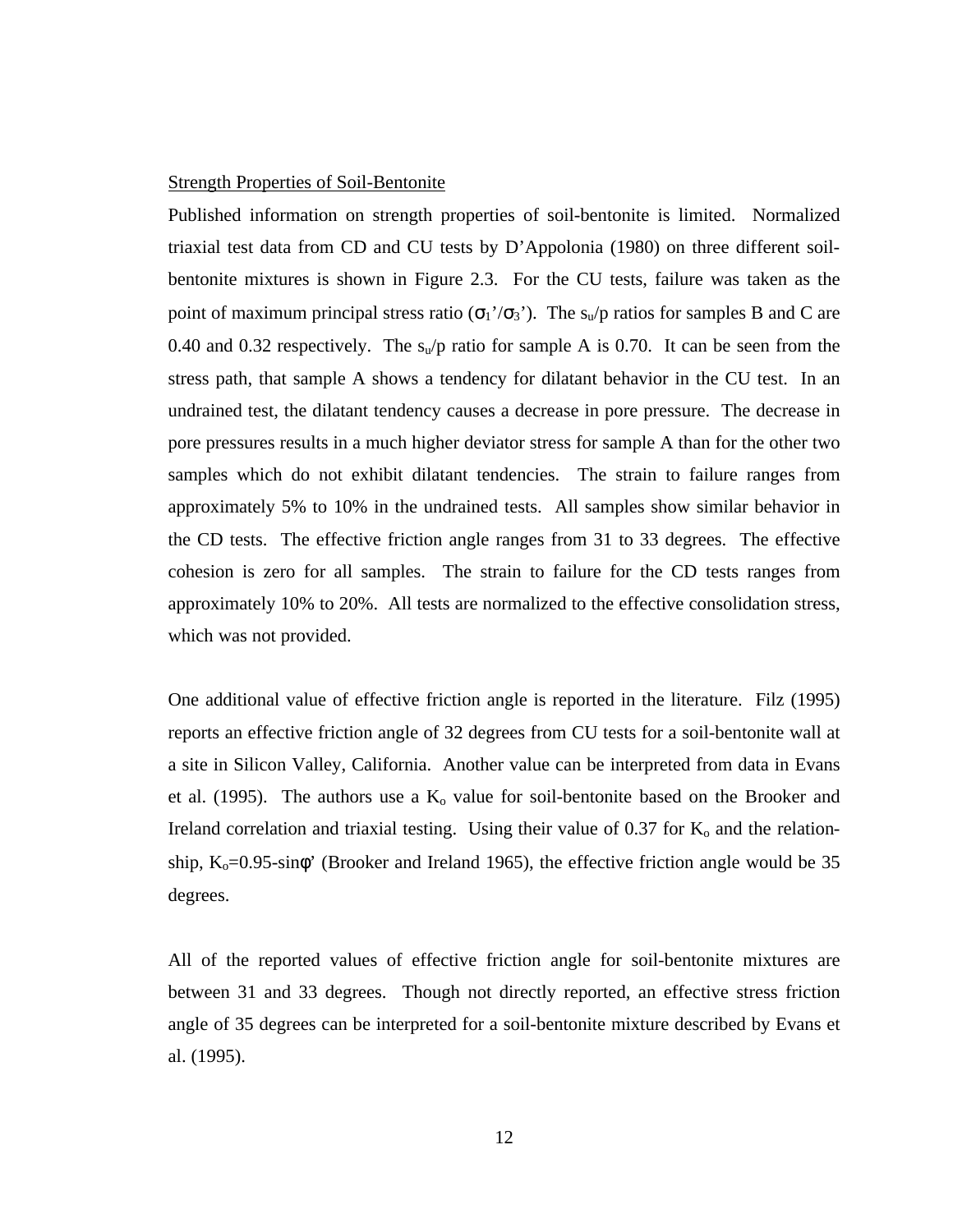# Strength Properties of Soil-Bentonite

Published information on strength properties of soil-bentonite is limited. Normalized triaxial test data from CD and CU tests by D'Appolonia (1980) on three different soilbentonite mixtures is shown in Figure 2.3. For the CU tests, failure was taken as the point of maximum principal stress ratio ( $\sigma_1'/\sigma_3'$ ). The s<sub>u</sub>/p ratios for samples B and C are 0.40 and 0.32 respectively. The  $s<sub>u</sub>/p$  ratio for sample A is 0.70. It can be seen from the stress path, that sample A shows a tendency for dilatant behavior in the CU test. In an undrained test, the dilatant tendency causes a decrease in pore pressure. The decrease in pore pressures results in a much higher deviator stress for sample A than for the other two samples which do not exhibit dilatant tendencies. The strain to failure ranges from approximately 5% to 10% in the undrained tests. All samples show similar behavior in the CD tests. The effective friction angle ranges from 31 to 33 degrees. The effective cohesion is zero for all samples. The strain to failure for the CD tests ranges from approximately 10% to 20%. All tests are normalized to the effective consolidation stress, which was not provided.

One additional value of effective friction angle is reported in the literature. Filz (1995) reports an effective friction angle of 32 degrees from CU tests for a soil-bentonite wall at a site in Silicon Valley, California. Another value can be interpreted from data in Evans et al. (1995). The authors use a  $K_0$  value for soil-bentonite based on the Brooker and Ireland correlation and triaxial testing. Using their value of  $0.37$  for  $K_0$  and the relationship,  $K_0 = 0.95$ -sin $\phi$ ' (Brooker and Ireland 1965), the effective friction angle would be 35 degrees.

All of the reported values of effective friction angle for soil-bentonite mixtures are between 31 and 33 degrees. Though not directly reported, an effective stress friction angle of 35 degrees can be interpreted for a soil-bentonite mixture described by Evans et al. (1995).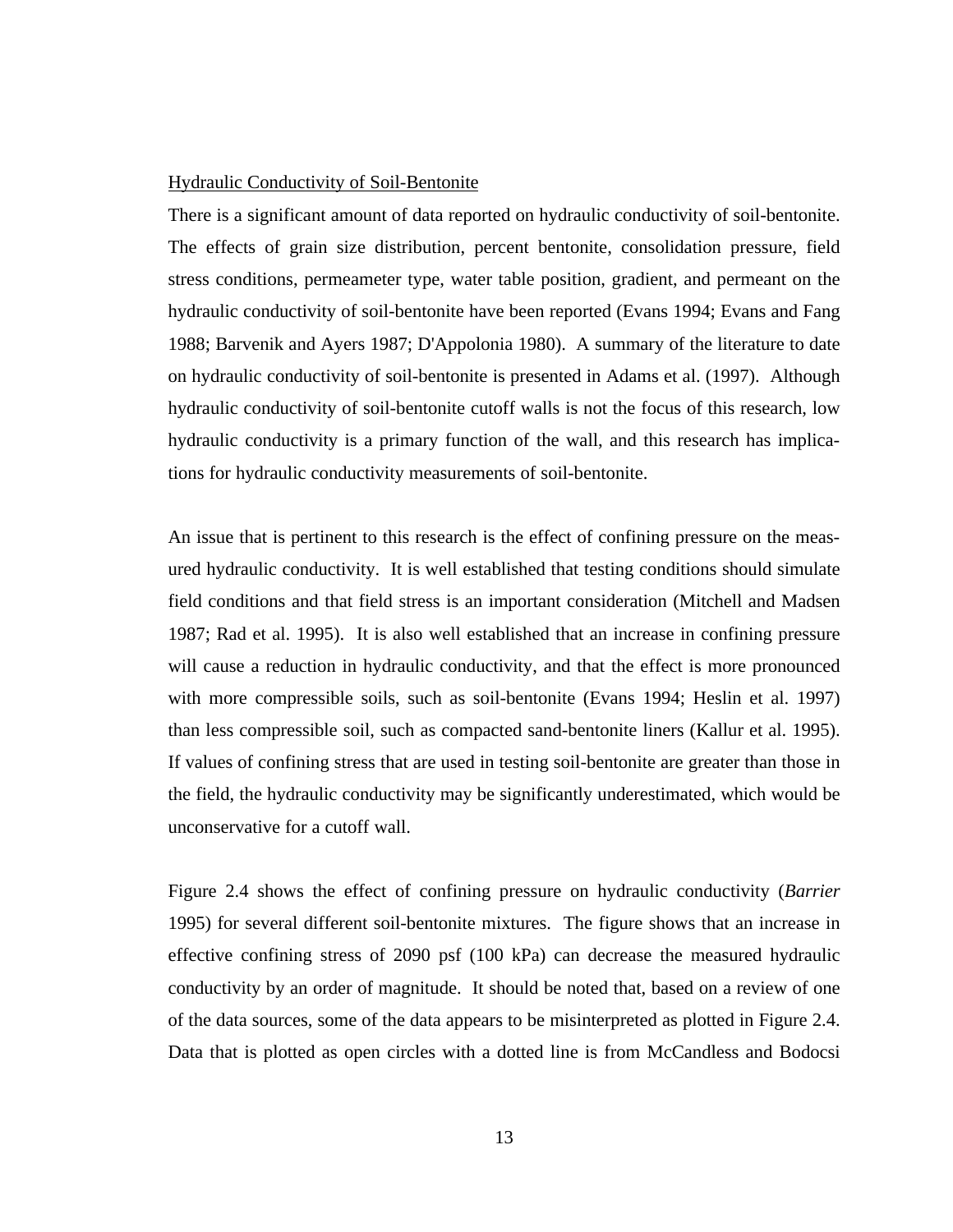# Hydraulic Conductivity of Soil-Bentonite

There is a significant amount of data reported on hydraulic conductivity of soil-bentonite. The effects of grain size distribution, percent bentonite, consolidation pressure, field stress conditions, permeameter type, water table position, gradient, and permeant on the hydraulic conductivity of soil-bentonite have been reported (Evans 1994; Evans and Fang 1988; Barvenik and Ayers 1987; D'Appolonia 1980). A summary of the literature to date on hydraulic conductivity of soil-bentonite is presented in Adams et al. (1997). Although hydraulic conductivity of soil-bentonite cutoff walls is not the focus of this research, low hydraulic conductivity is a primary function of the wall, and this research has implications for hydraulic conductivity measurements of soil-bentonite.

An issue that is pertinent to this research is the effect of confining pressure on the measured hydraulic conductivity. It is well established that testing conditions should simulate field conditions and that field stress is an important consideration (Mitchell and Madsen 1987; Rad et al. 1995). It is also well established that an increase in confining pressure will cause a reduction in hydraulic conductivity, and that the effect is more pronounced with more compressible soils, such as soil-bentonite (Evans 1994; Heslin et al. 1997) than less compressible soil, such as compacted sand-bentonite liners (Kallur et al. 1995). If values of confining stress that are used in testing soil-bentonite are greater than those in the field, the hydraulic conductivity may be significantly underestimated, which would be unconservative for a cutoff wall.

Figure 2.4 shows the effect of confining pressure on hydraulic conductivity (*Barrier* 1995) for several different soil-bentonite mixtures. The figure shows that an increase in effective confining stress of 2090 psf (100 kPa) can decrease the measured hydraulic conductivity by an order of magnitude. It should be noted that, based on a review of one of the data sources, some of the data appears to be misinterpreted as plotted in Figure 2.4. Data that is plotted as open circles with a dotted line is from McCandless and Bodocsi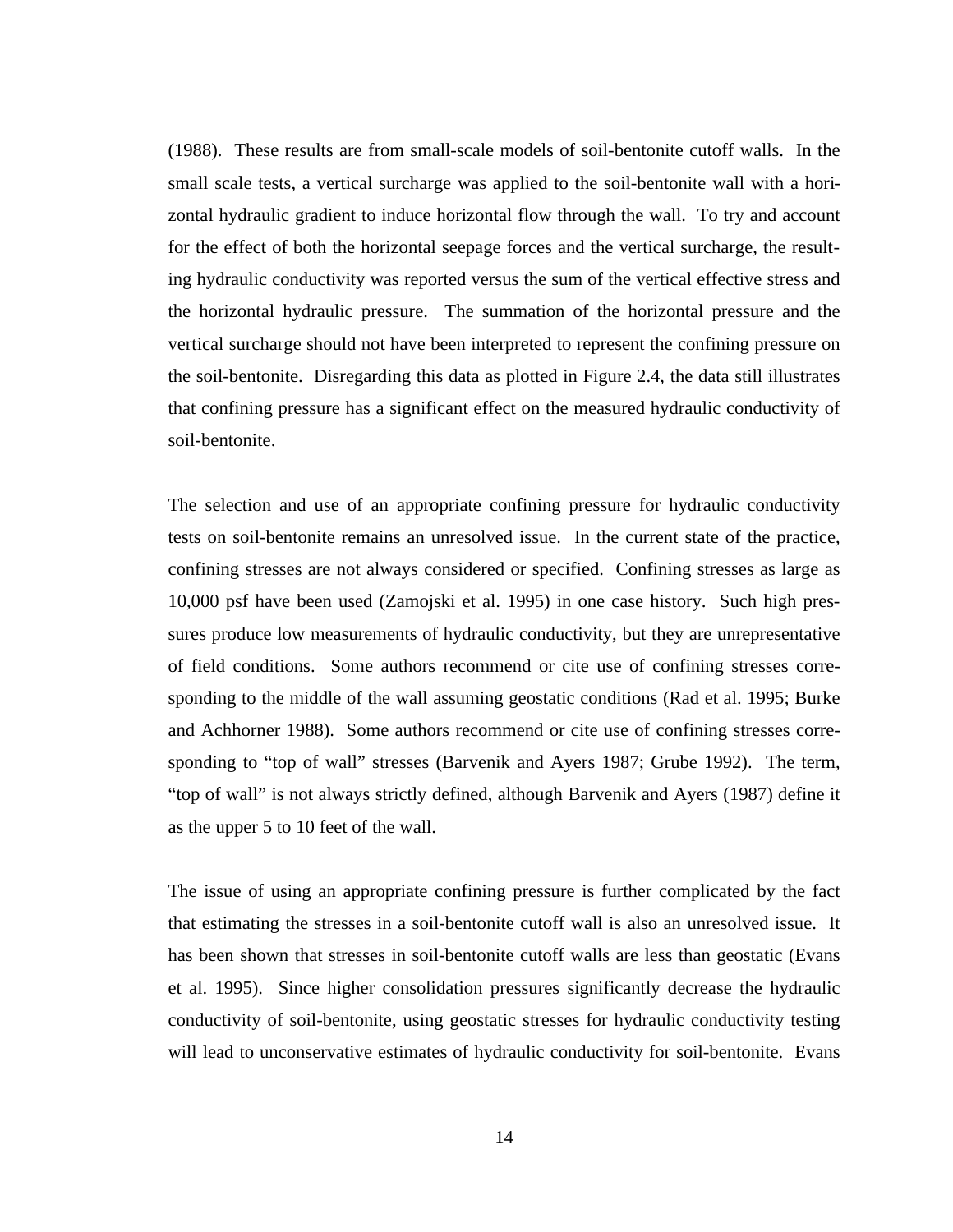(1988). These results are from small-scale models of soil-bentonite cutoff walls. In the small scale tests, a vertical surcharge was applied to the soil-bentonite wall with a horizontal hydraulic gradient to induce horizontal flow through the wall. To try and account for the effect of both the horizontal seepage forces and the vertical surcharge, the resulting hydraulic conductivity was reported versus the sum of the vertical effective stress and the horizontal hydraulic pressure. The summation of the horizontal pressure and the vertical surcharge should not have been interpreted to represent the confining pressure on the soil-bentonite. Disregarding this data as plotted in Figure 2.4, the data still illustrates that confining pressure has a significant effect on the measured hydraulic conductivity of soil-bentonite.

The selection and use of an appropriate confining pressure for hydraulic conductivity tests on soil-bentonite remains an unresolved issue. In the current state of the practice, confining stresses are not always considered or specified. Confining stresses as large as 10,000 psf have been used (Zamojski et al. 1995) in one case history. Such high pressures produce low measurements of hydraulic conductivity, but they are unrepresentative of field conditions. Some authors recommend or cite use of confining stresses corresponding to the middle of the wall assuming geostatic conditions (Rad et al. 1995; Burke and Achhorner 1988). Some authors recommend or cite use of confining stresses corresponding to "top of wall" stresses (Barvenik and Ayers 1987; Grube 1992). The term, "top of wall" is not always strictly defined, although Barvenik and Ayers (1987) define it as the upper 5 to 10 feet of the wall.

The issue of using an appropriate confining pressure is further complicated by the fact that estimating the stresses in a soil-bentonite cutoff wall is also an unresolved issue. It has been shown that stresses in soil-bentonite cutoff walls are less than geostatic (Evans et al. 1995). Since higher consolidation pressures significantly decrease the hydraulic conductivity of soil-bentonite, using geostatic stresses for hydraulic conductivity testing will lead to unconservative estimates of hydraulic conductivity for soil-bentonite. Evans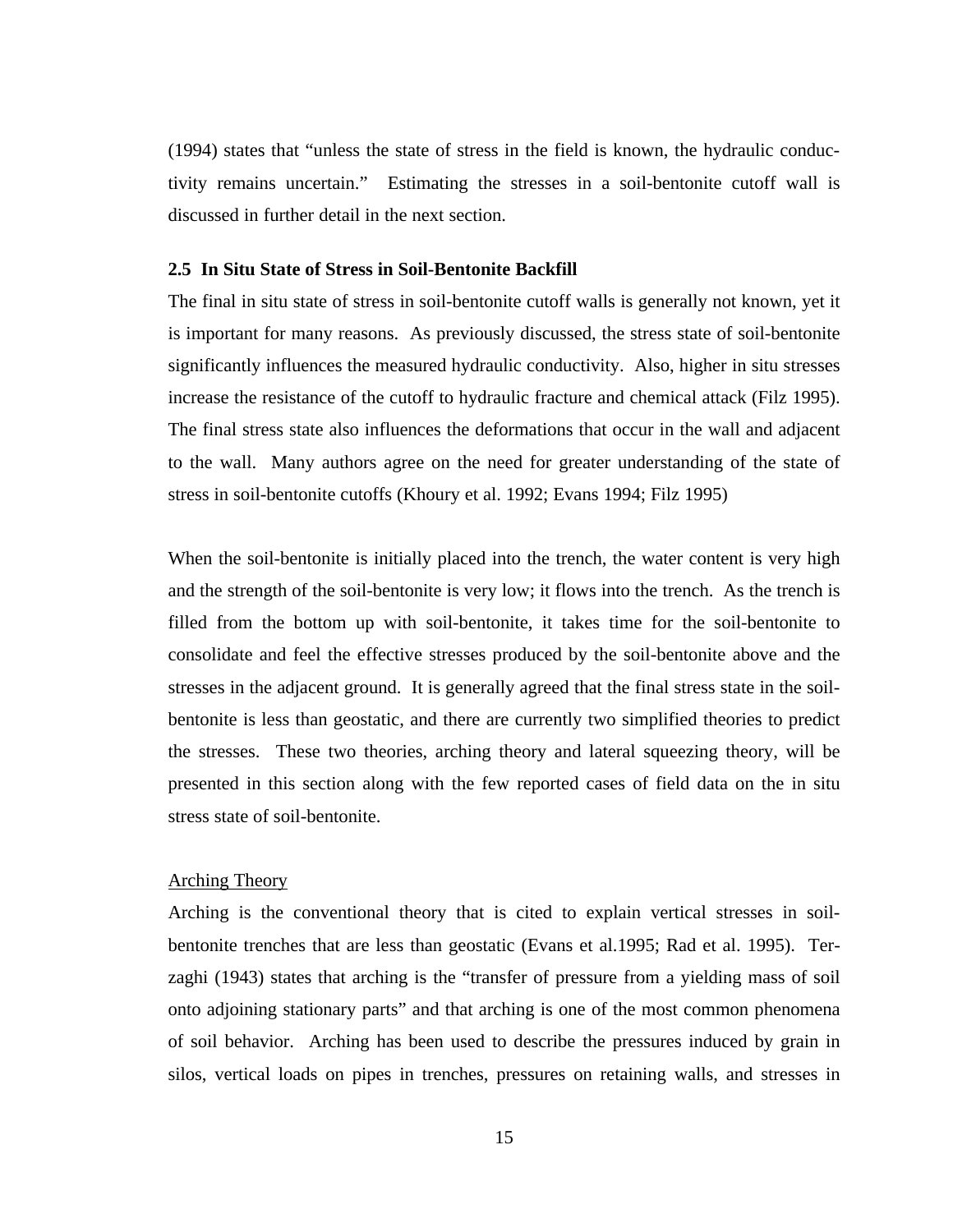(1994) states that "unless the state of stress in the field is known, the hydraulic conductivity remains uncertain." Estimating the stresses in a soil-bentonite cutoff wall is discussed in further detail in the next section.

## **2.5 In Situ State of Stress in Soil-Bentonite Backfill**

The final in situ state of stress in soil-bentonite cutoff walls is generally not known, yet it is important for many reasons. As previously discussed, the stress state of soil-bentonite significantly influences the measured hydraulic conductivity. Also, higher in situ stresses increase the resistance of the cutoff to hydraulic fracture and chemical attack (Filz 1995). The final stress state also influences the deformations that occur in the wall and adjacent to the wall. Many authors agree on the need for greater understanding of the state of stress in soil-bentonite cutoffs (Khoury et al. 1992; Evans 1994; Filz 1995)

When the soil-bentonite is initially placed into the trench, the water content is very high and the strength of the soil-bentonite is very low; it flows into the trench. As the trench is filled from the bottom up with soil-bentonite, it takes time for the soil-bentonite to consolidate and feel the effective stresses produced by the soil-bentonite above and the stresses in the adjacent ground. It is generally agreed that the final stress state in the soilbentonite is less than geostatic, and there are currently two simplified theories to predict the stresses. These two theories, arching theory and lateral squeezing theory, will be presented in this section along with the few reported cases of field data on the in situ stress state of soil-bentonite.

## Arching Theory

Arching is the conventional theory that is cited to explain vertical stresses in soilbentonite trenches that are less than geostatic (Evans et al.1995; Rad et al. 1995). Terzaghi (1943) states that arching is the "transfer of pressure from a yielding mass of soil onto adjoining stationary parts" and that arching is one of the most common phenomena of soil behavior. Arching has been used to describe the pressures induced by grain in silos, vertical loads on pipes in trenches, pressures on retaining walls, and stresses in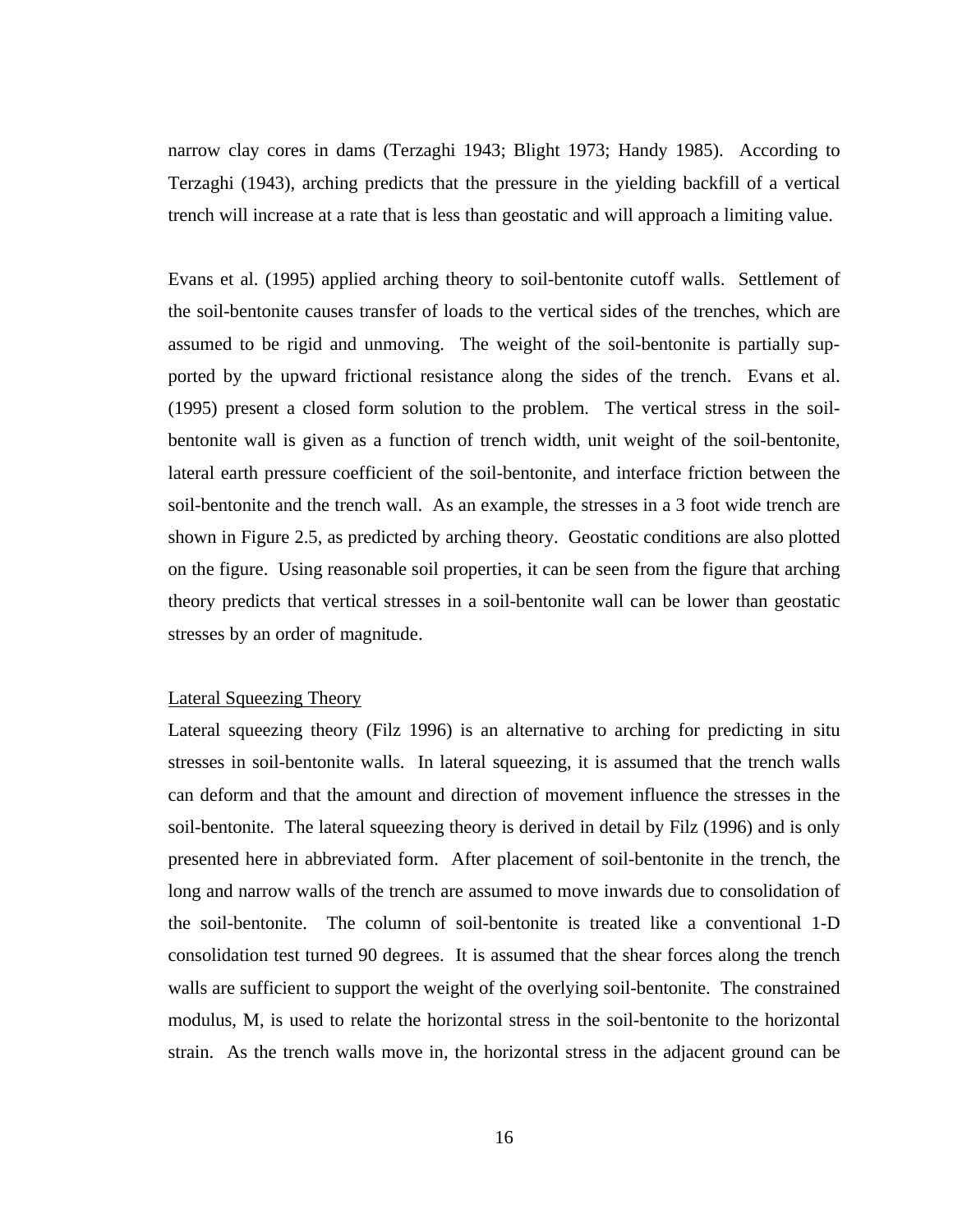narrow clay cores in dams (Terzaghi 1943; Blight 1973; Handy 1985). According to Terzaghi (1943), arching predicts that the pressure in the yielding backfill of a vertical trench will increase at a rate that is less than geostatic and will approach a limiting value.

Evans et al. (1995) applied arching theory to soil-bentonite cutoff walls. Settlement of the soil-bentonite causes transfer of loads to the vertical sides of the trenches, which are assumed to be rigid and unmoving. The weight of the soil-bentonite is partially supported by the upward frictional resistance along the sides of the trench. Evans et al. (1995) present a closed form solution to the problem. The vertical stress in the soilbentonite wall is given as a function of trench width, unit weight of the soil-bentonite, lateral earth pressure coefficient of the soil-bentonite, and interface friction between the soil-bentonite and the trench wall. As an example, the stresses in a 3 foot wide trench are shown in Figure 2.5, as predicted by arching theory. Geostatic conditions are also plotted on the figure. Using reasonable soil properties, it can be seen from the figure that arching theory predicts that vertical stresses in a soil-bentonite wall can be lower than geostatic stresses by an order of magnitude.

#### Lateral Squeezing Theory

Lateral squeezing theory (Filz 1996) is an alternative to arching for predicting in situ stresses in soil-bentonite walls. In lateral squeezing, it is assumed that the trench walls can deform and that the amount and direction of movement influence the stresses in the soil-bentonite. The lateral squeezing theory is derived in detail by Filz (1996) and is only presented here in abbreviated form. After placement of soil-bentonite in the trench, the long and narrow walls of the trench are assumed to move inwards due to consolidation of the soil-bentonite. The column of soil-bentonite is treated like a conventional 1-D consolidation test turned 90 degrees. It is assumed that the shear forces along the trench walls are sufficient to support the weight of the overlying soil-bentonite. The constrained modulus, M, is used to relate the horizontal stress in the soil-bentonite to the horizontal strain. As the trench walls move in, the horizontal stress in the adjacent ground can be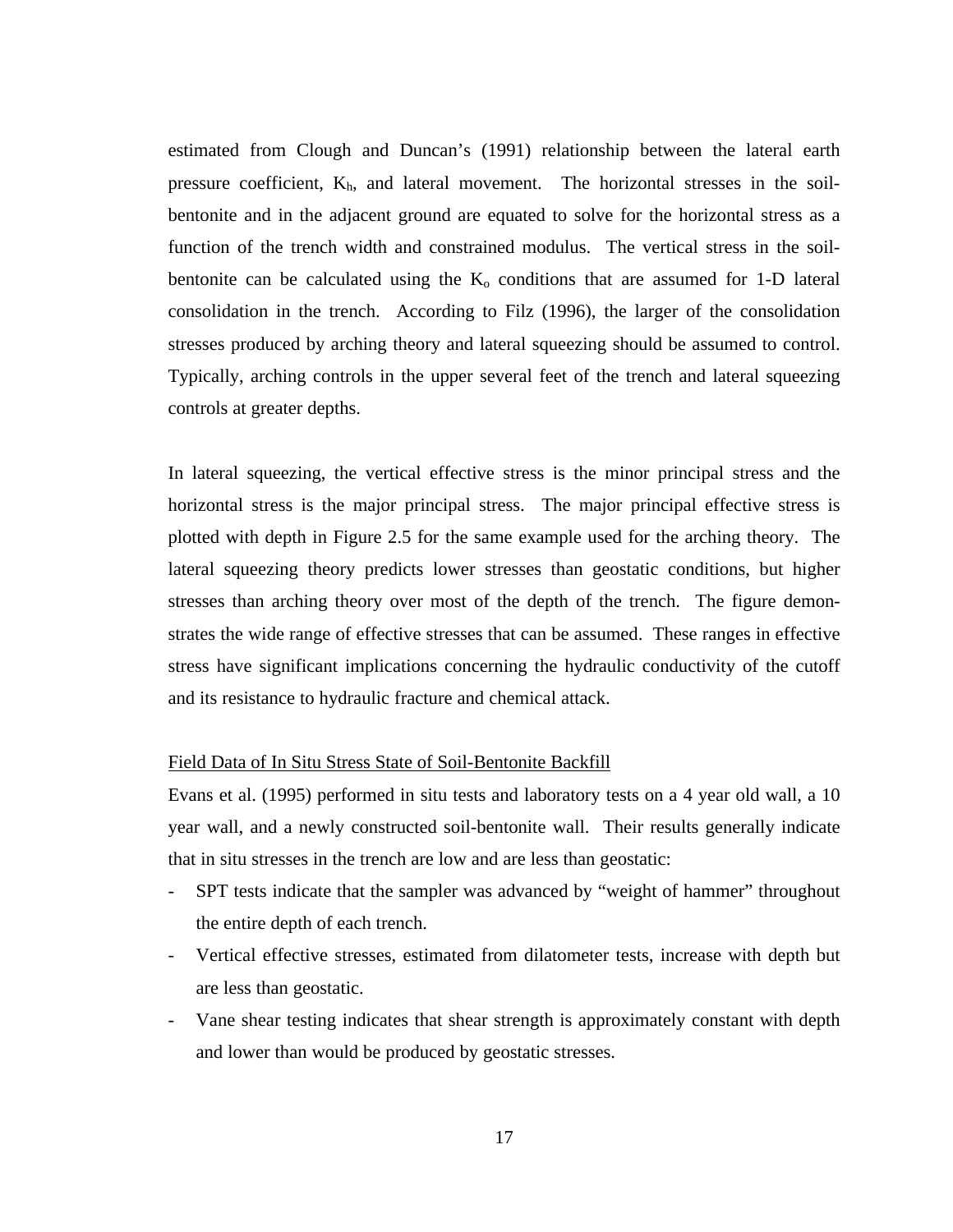estimated from Clough and Duncan's (1991) relationship between the lateral earth pressure coefficient,  $K<sub>h</sub>$ , and lateral movement. The horizontal stresses in the soilbentonite and in the adjacent ground are equated to solve for the horizontal stress as a function of the trench width and constrained modulus. The vertical stress in the soilbentonite can be calculated using the  $K_0$  conditions that are assumed for 1-D lateral consolidation in the trench. According to Filz (1996), the larger of the consolidation stresses produced by arching theory and lateral squeezing should be assumed to control. Typically, arching controls in the upper several feet of the trench and lateral squeezing controls at greater depths.

In lateral squeezing, the vertical effective stress is the minor principal stress and the horizontal stress is the major principal stress. The major principal effective stress is plotted with depth in Figure 2.5 for the same example used for the arching theory. The lateral squeezing theory predicts lower stresses than geostatic conditions, but higher stresses than arching theory over most of the depth of the trench. The figure demonstrates the wide range of effective stresses that can be assumed. These ranges in effective stress have significant implications concerning the hydraulic conductivity of the cutoff and its resistance to hydraulic fracture and chemical attack.

# Field Data of In Situ Stress State of Soil-Bentonite Backfill

Evans et al. (1995) performed in situ tests and laboratory tests on a 4 year old wall, a 10 year wall, and a newly constructed soil-bentonite wall. Their results generally indicate that in situ stresses in the trench are low and are less than geostatic:

- SPT tests indicate that the sampler was advanced by "weight of hammer" throughout the entire depth of each trench.
- Vertical effective stresses, estimated from dilatometer tests, increase with depth but are less than geostatic.
- Vane shear testing indicates that shear strength is approximately constant with depth and lower than would be produced by geostatic stresses.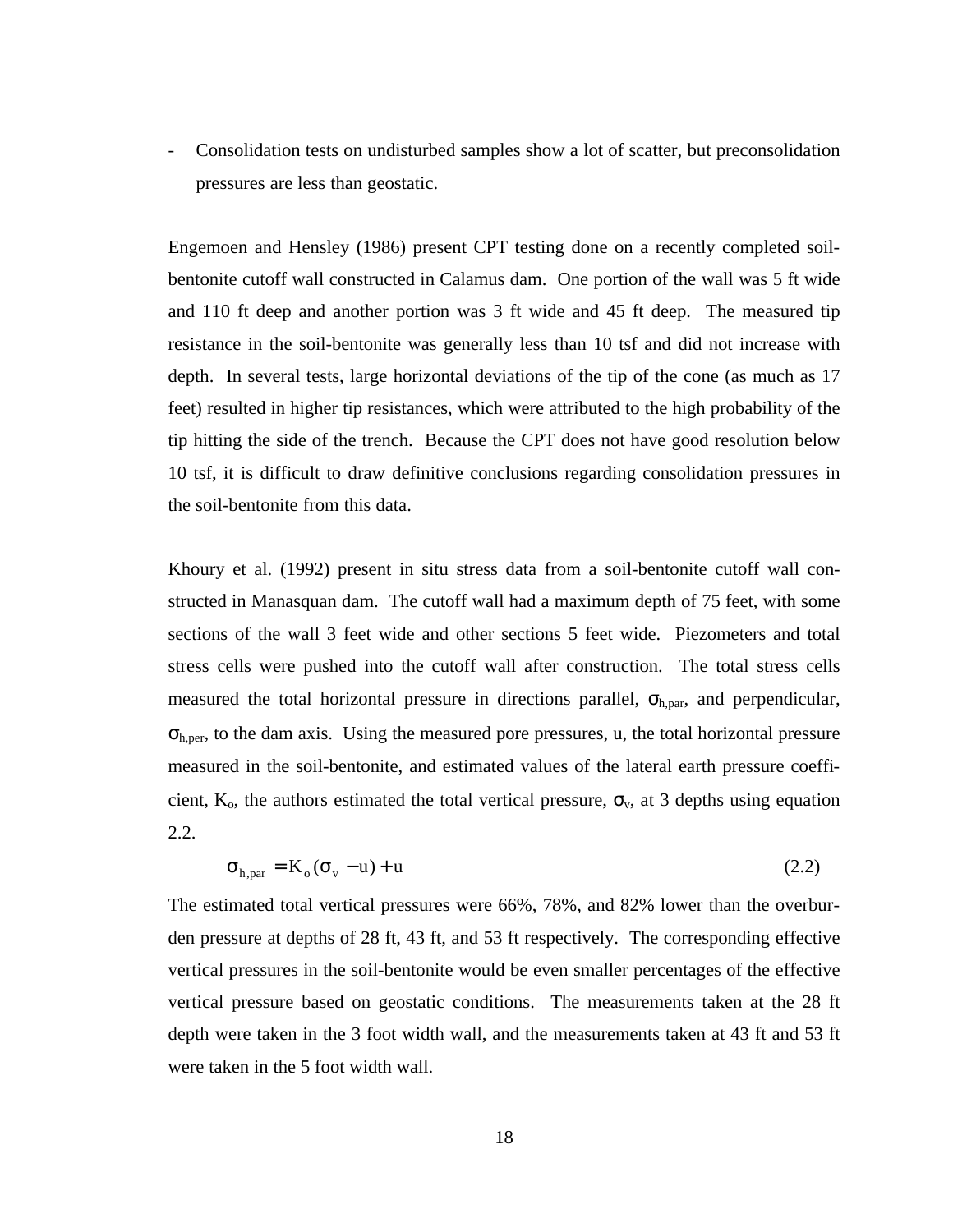- Consolidation tests on undisturbed samples show a lot of scatter, but preconsolidation pressures are less than geostatic.

Engemoen and Hensley (1986) present CPT testing done on a recently completed soilbentonite cutoff wall constructed in Calamus dam. One portion of the wall was 5 ft wide and 110 ft deep and another portion was 3 ft wide and 45 ft deep. The measured tip resistance in the soil-bentonite was generally less than 10 tsf and did not increase with depth. In several tests, large horizontal deviations of the tip of the cone (as much as 17 feet) resulted in higher tip resistances, which were attributed to the high probability of the tip hitting the side of the trench. Because the CPT does not have good resolution below 10 tsf, it is difficult to draw definitive conclusions regarding consolidation pressures in the soil-bentonite from this data.

Khoury et al. (1992) present in situ stress data from a soil-bentonite cutoff wall constructed in Manasquan dam. The cutoff wall had a maximum depth of 75 feet, with some sections of the wall 3 feet wide and other sections 5 feet wide. Piezometers and total stress cells were pushed into the cutoff wall after construction. The total stress cells measured the total horizontal pressure in directions parallel,  $\sigma_{h, par}$ , and perpendicular,  $\sigma_{h,per}$ , to the dam axis. Using the measured pore pressures, u, the total horizontal pressure measured in the soil-bentonite, and estimated values of the lateral earth pressure coefficient,  $K_0$ , the authors estimated the total vertical pressure,  $\sigma_v$ , at 3 depths using equation 2.2.

$$
\sigma_{h, par} = K_o(\sigma_v - u) + u \tag{2.2}
$$

The estimated total vertical pressures were 66%, 78%, and 82% lower than the overburden pressure at depths of 28 ft, 43 ft, and 53 ft respectively. The corresponding effective vertical pressures in the soil-bentonite would be even smaller percentages of the effective vertical pressure based on geostatic conditions. The measurements taken at the 28 ft depth were taken in the 3 foot width wall, and the measurements taken at 43 ft and 53 ft were taken in the 5 foot width wall.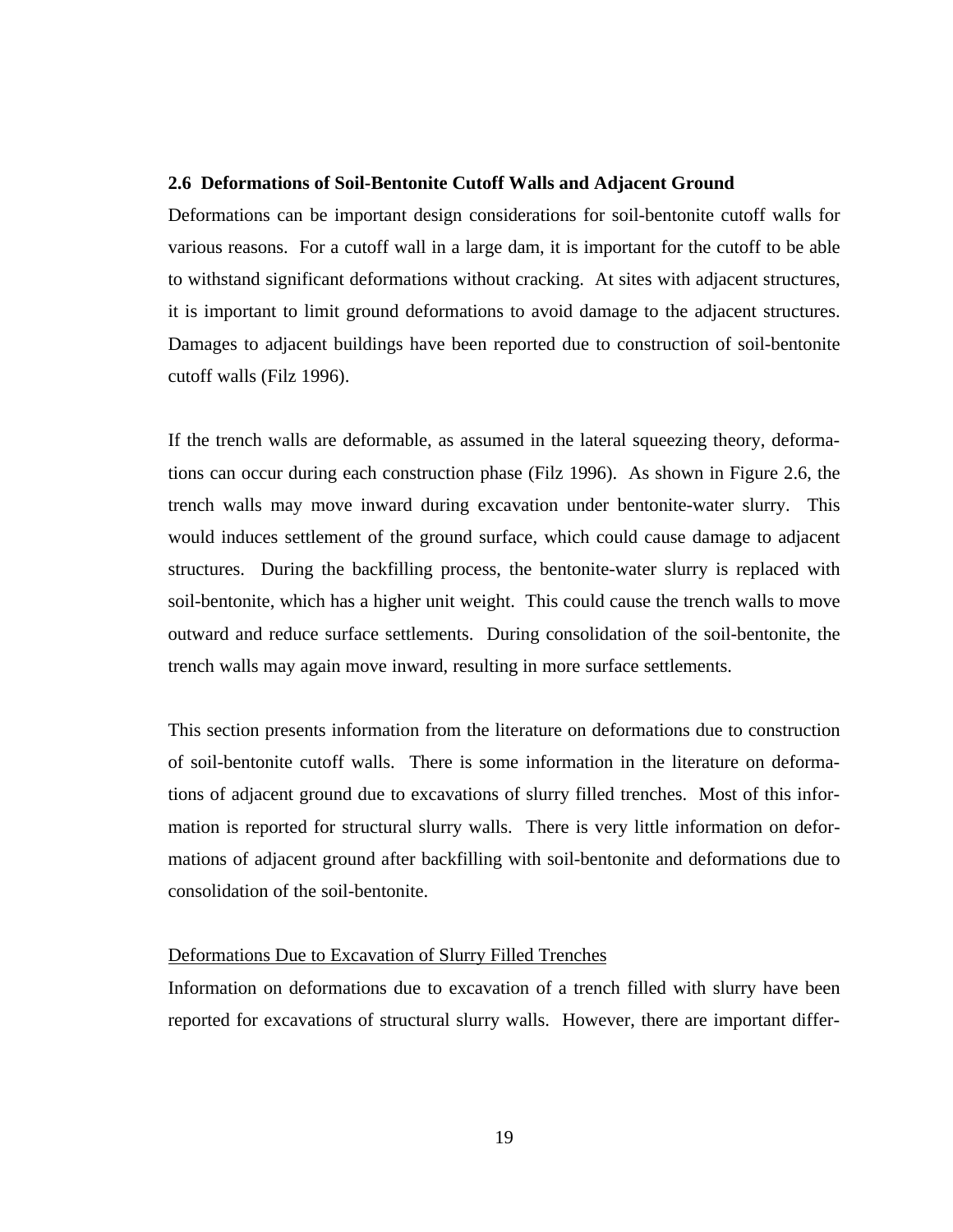#### **2.6 Deformations of Soil-Bentonite Cutoff Walls and Adjacent Ground**

Deformations can be important design considerations for soil-bentonite cutoff walls for various reasons. For a cutoff wall in a large dam, it is important for the cutoff to be able to withstand significant deformations without cracking. At sites with adjacent structures, it is important to limit ground deformations to avoid damage to the adjacent structures. Damages to adjacent buildings have been reported due to construction of soil-bentonite cutoff walls (Filz 1996).

If the trench walls are deformable, as assumed in the lateral squeezing theory, deformations can occur during each construction phase (Filz 1996). As shown in Figure 2.6, the trench walls may move inward during excavation under bentonite-water slurry. This would induces settlement of the ground surface, which could cause damage to adjacent structures. During the backfilling process, the bentonite-water slurry is replaced with soil-bentonite, which has a higher unit weight. This could cause the trench walls to move outward and reduce surface settlements. During consolidation of the soil-bentonite, the trench walls may again move inward, resulting in more surface settlements.

This section presents information from the literature on deformations due to construction of soil-bentonite cutoff walls. There is some information in the literature on deformations of adjacent ground due to excavations of slurry filled trenches. Most of this information is reported for structural slurry walls. There is very little information on deformations of adjacent ground after backfilling with soil-bentonite and deformations due to consolidation of the soil-bentonite.

#### Deformations Due to Excavation of Slurry Filled Trenches

Information on deformations due to excavation of a trench filled with slurry have been reported for excavations of structural slurry walls. However, there are important differ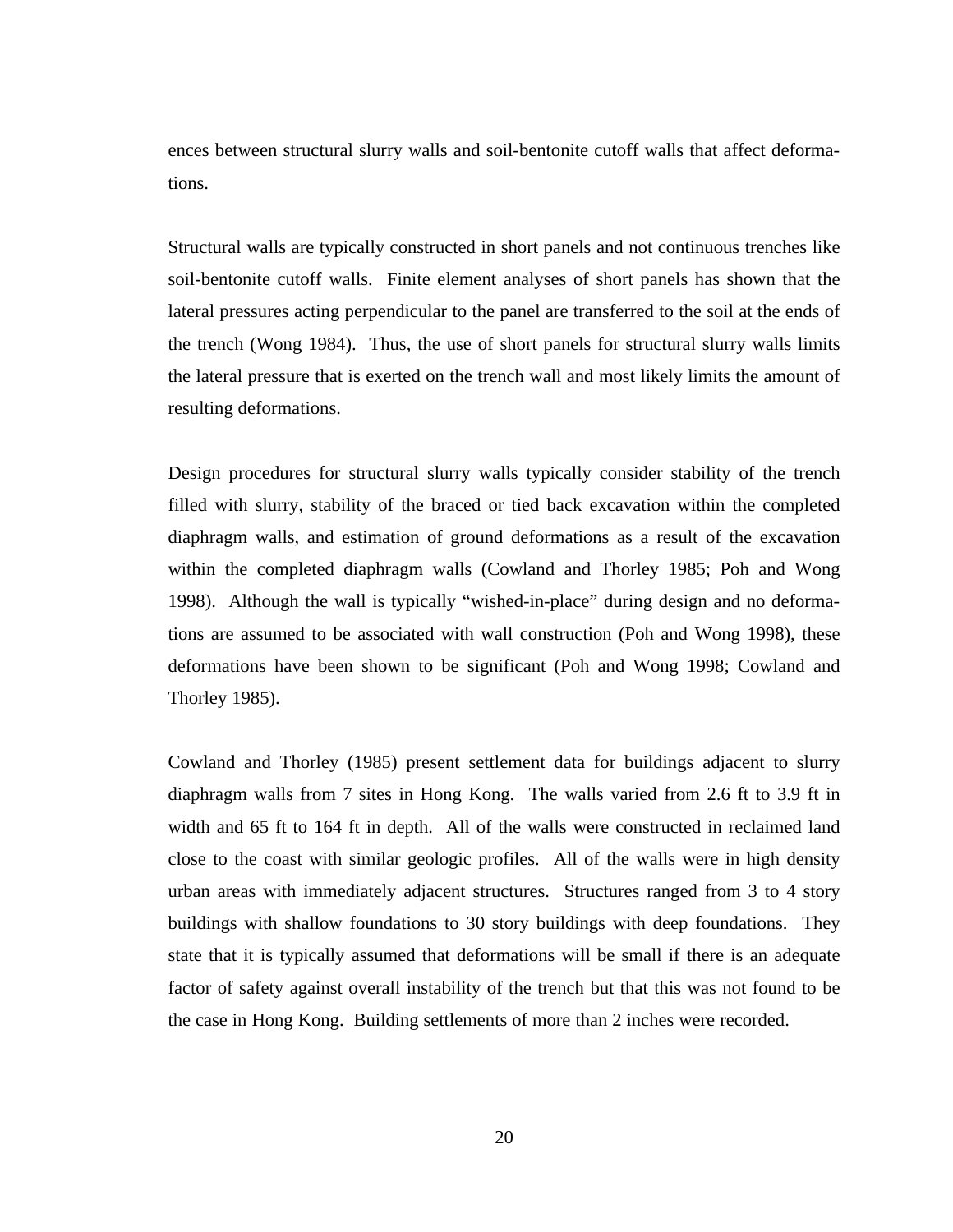ences between structural slurry walls and soil-bentonite cutoff walls that affect deformations.

Structural walls are typically constructed in short panels and not continuous trenches like soil-bentonite cutoff walls. Finite element analyses of short panels has shown that the lateral pressures acting perpendicular to the panel are transferred to the soil at the ends of the trench (Wong 1984). Thus, the use of short panels for structural slurry walls limits the lateral pressure that is exerted on the trench wall and most likely limits the amount of resulting deformations.

Design procedures for structural slurry walls typically consider stability of the trench filled with slurry, stability of the braced or tied back excavation within the completed diaphragm walls, and estimation of ground deformations as a result of the excavation within the completed diaphragm walls (Cowland and Thorley 1985; Poh and Wong 1998). Although the wall is typically "wished-in-place" during design and no deformations are assumed to be associated with wall construction (Poh and Wong 1998), these deformations have been shown to be significant (Poh and Wong 1998; Cowland and Thorley 1985).

Cowland and Thorley (1985) present settlement data for buildings adjacent to slurry diaphragm walls from 7 sites in Hong Kong. The walls varied from 2.6 ft to 3.9 ft in width and 65 ft to 164 ft in depth. All of the walls were constructed in reclaimed land close to the coast with similar geologic profiles. All of the walls were in high density urban areas with immediately adjacent structures. Structures ranged from 3 to 4 story buildings with shallow foundations to 30 story buildings with deep foundations. They state that it is typically assumed that deformations will be small if there is an adequate factor of safety against overall instability of the trench but that this was not found to be the case in Hong Kong. Building settlements of more than 2 inches were recorded.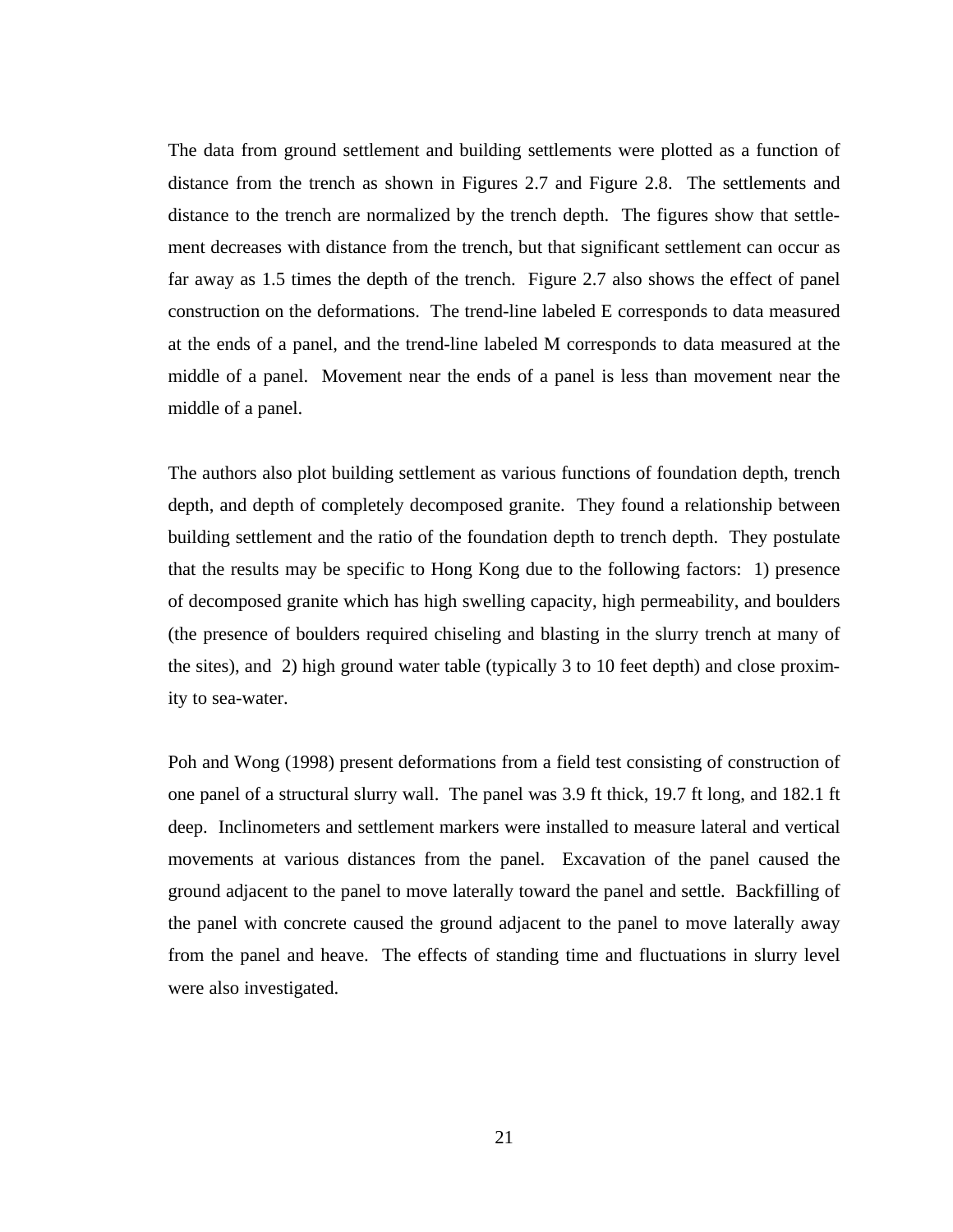The data from ground settlement and building settlements were plotted as a function of distance from the trench as shown in Figures 2.7 and Figure 2.8. The settlements and distance to the trench are normalized by the trench depth. The figures show that settlement decreases with distance from the trench, but that significant settlement can occur as far away as 1.5 times the depth of the trench. Figure 2.7 also shows the effect of panel construction on the deformations. The trend-line labeled E corresponds to data measured at the ends of a panel, and the trend-line labeled M corresponds to data measured at the middle of a panel. Movement near the ends of a panel is less than movement near the middle of a panel.

The authors also plot building settlement as various functions of foundation depth, trench depth, and depth of completely decomposed granite. They found a relationship between building settlement and the ratio of the foundation depth to trench depth. They postulate that the results may be specific to Hong Kong due to the following factors: 1) presence of decomposed granite which has high swelling capacity, high permeability, and boulders (the presence of boulders required chiseling and blasting in the slurry trench at many of the sites), and 2) high ground water table (typically 3 to 10 feet depth) and close proximity to sea-water.

Poh and Wong (1998) present deformations from a field test consisting of construction of one panel of a structural slurry wall. The panel was 3.9 ft thick, 19.7 ft long, and 182.1 ft deep. Inclinometers and settlement markers were installed to measure lateral and vertical movements at various distances from the panel. Excavation of the panel caused the ground adjacent to the panel to move laterally toward the panel and settle. Backfilling of the panel with concrete caused the ground adjacent to the panel to move laterally away from the panel and heave. The effects of standing time and fluctuations in slurry level were also investigated.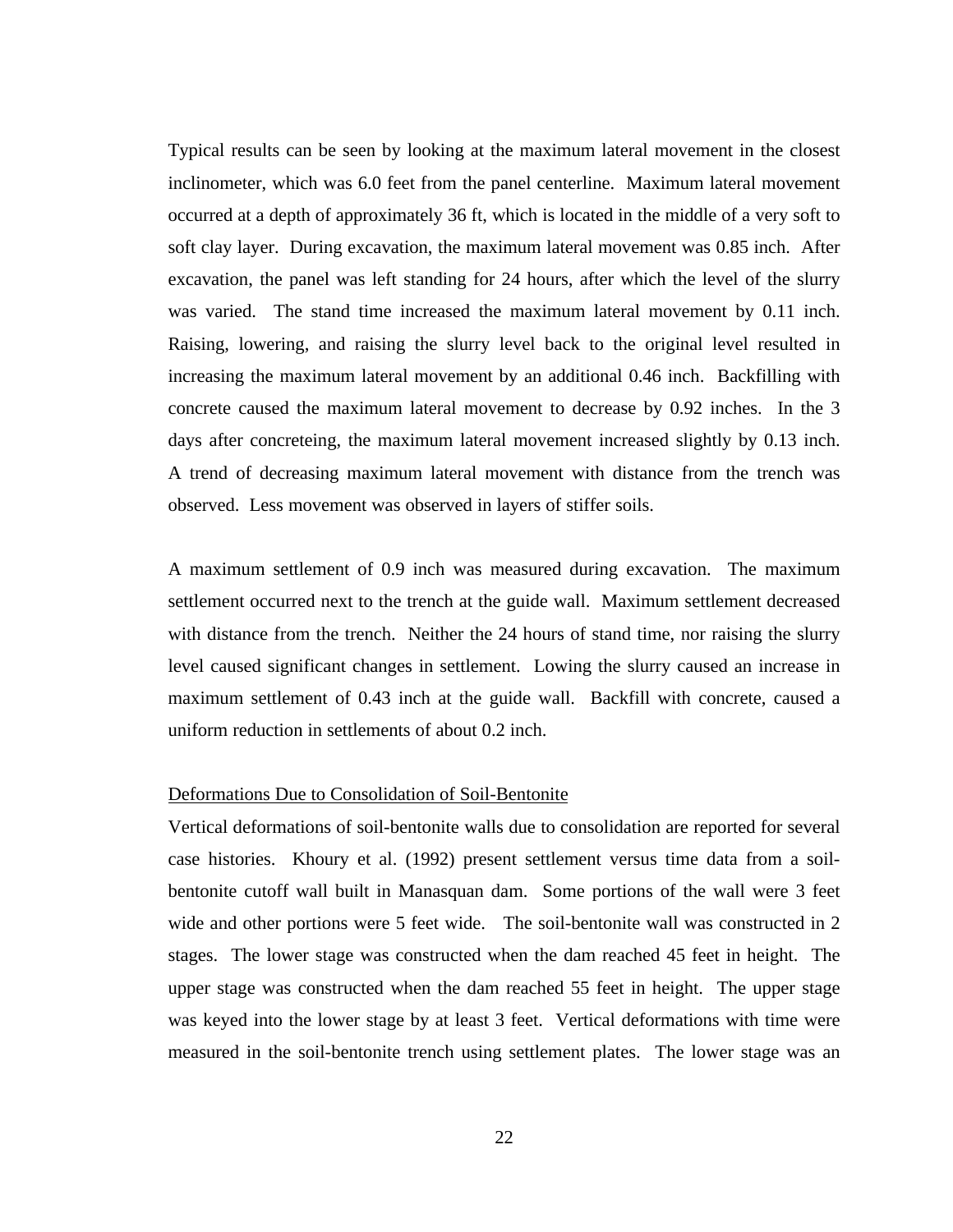Typical results can be seen by looking at the maximum lateral movement in the closest inclinometer, which was 6.0 feet from the panel centerline. Maximum lateral movement occurred at a depth of approximately 36 ft, which is located in the middle of a very soft to soft clay layer. During excavation, the maximum lateral movement was 0.85 inch. After excavation, the panel was left standing for 24 hours, after which the level of the slurry was varied. The stand time increased the maximum lateral movement by 0.11 inch. Raising, lowering, and raising the slurry level back to the original level resulted in increasing the maximum lateral movement by an additional 0.46 inch. Backfilling with concrete caused the maximum lateral movement to decrease by 0.92 inches. In the 3 days after concreteing, the maximum lateral movement increased slightly by 0.13 inch. A trend of decreasing maximum lateral movement with distance from the trench was observed. Less movement was observed in layers of stiffer soils.

A maximum settlement of 0.9 inch was measured during excavation. The maximum settlement occurred next to the trench at the guide wall. Maximum settlement decreased with distance from the trench. Neither the 24 hours of stand time, nor raising the slurry level caused significant changes in settlement. Lowing the slurry caused an increase in maximum settlement of 0.43 inch at the guide wall. Backfill with concrete, caused a uniform reduction in settlements of about 0.2 inch.

# Deformations Due to Consolidation of Soil-Bentonite

Vertical deformations of soil-bentonite walls due to consolidation are reported for several case histories. Khoury et al. (1992) present settlement versus time data from a soilbentonite cutoff wall built in Manasquan dam. Some portions of the wall were 3 feet wide and other portions were 5 feet wide. The soil-bentonite wall was constructed in 2 stages. The lower stage was constructed when the dam reached 45 feet in height. The upper stage was constructed when the dam reached 55 feet in height. The upper stage was keyed into the lower stage by at least 3 feet. Vertical deformations with time were measured in the soil-bentonite trench using settlement plates. The lower stage was an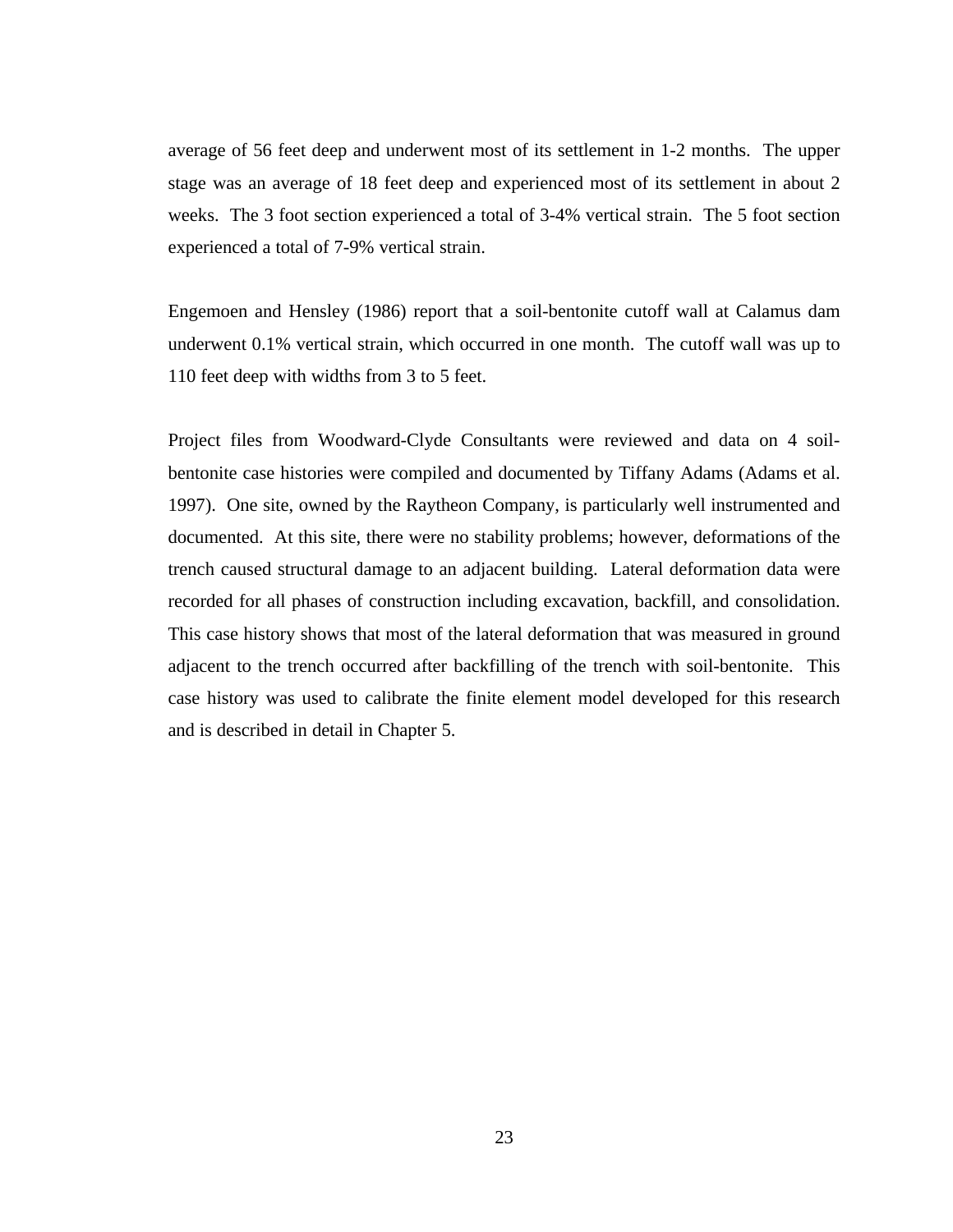average of 56 feet deep and underwent most of its settlement in 1-2 months. The upper stage was an average of 18 feet deep and experienced most of its settlement in about 2 weeks. The 3 foot section experienced a total of 3-4% vertical strain. The 5 foot section experienced a total of 7-9% vertical strain.

Engemoen and Hensley (1986) report that a soil-bentonite cutoff wall at Calamus dam underwent 0.1% vertical strain, which occurred in one month. The cutoff wall was up to 110 feet deep with widths from 3 to 5 feet.

Project files from Woodward-Clyde Consultants were reviewed and data on 4 soilbentonite case histories were compiled and documented by Tiffany Adams (Adams et al. 1997). One site, owned by the Raytheon Company, is particularly well instrumented and documented. At this site, there were no stability problems; however, deformations of the trench caused structural damage to an adjacent building. Lateral deformation data were recorded for all phases of construction including excavation, backfill, and consolidation. This case history shows that most of the lateral deformation that was measured in ground adjacent to the trench occurred after backfilling of the trench with soil-bentonite. This case history was used to calibrate the finite element model developed for this research and is described in detail in Chapter 5.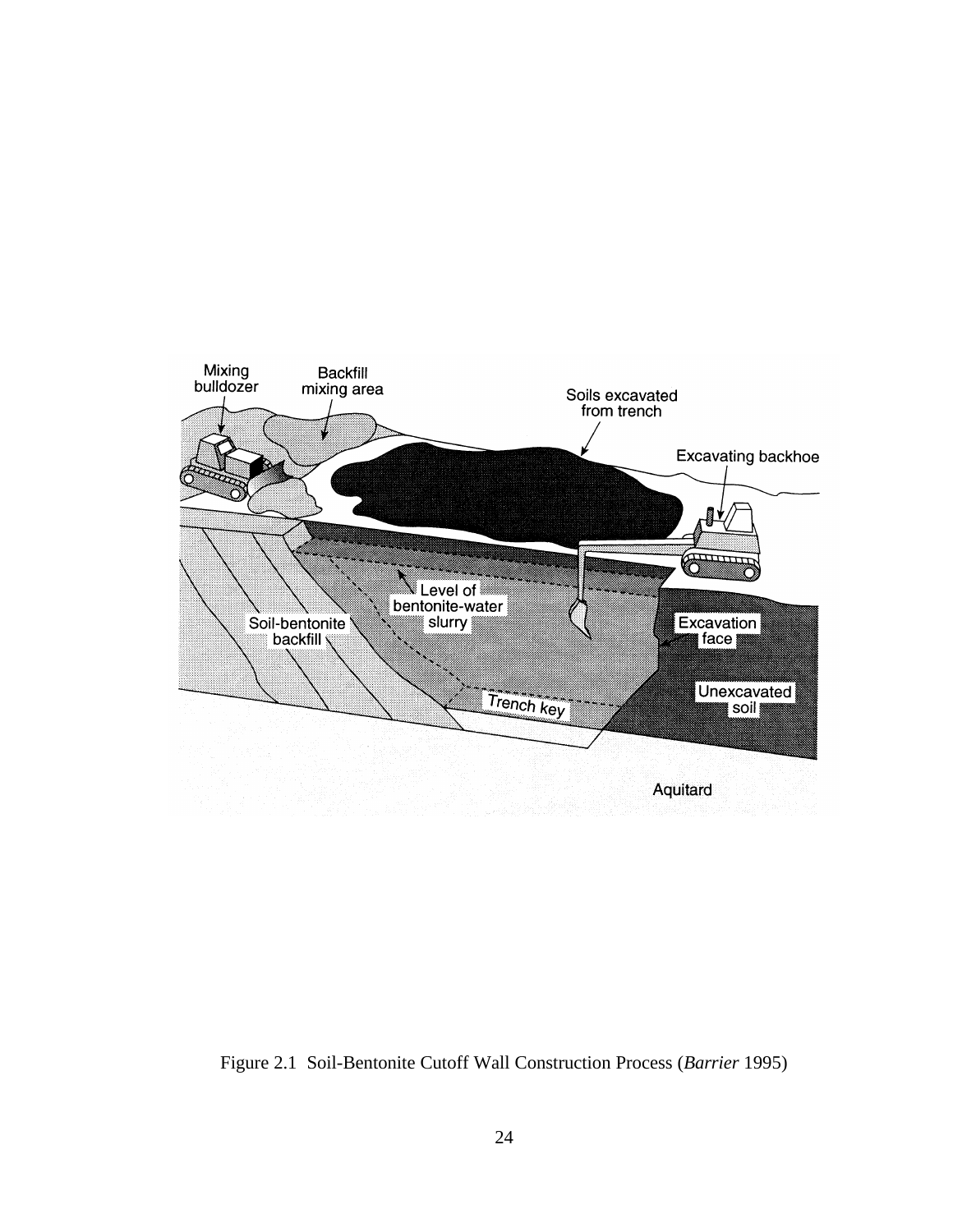

Figure 2.1 Soil-Bentonite Cutoff Wall Construction Process (*Barrier* 1995)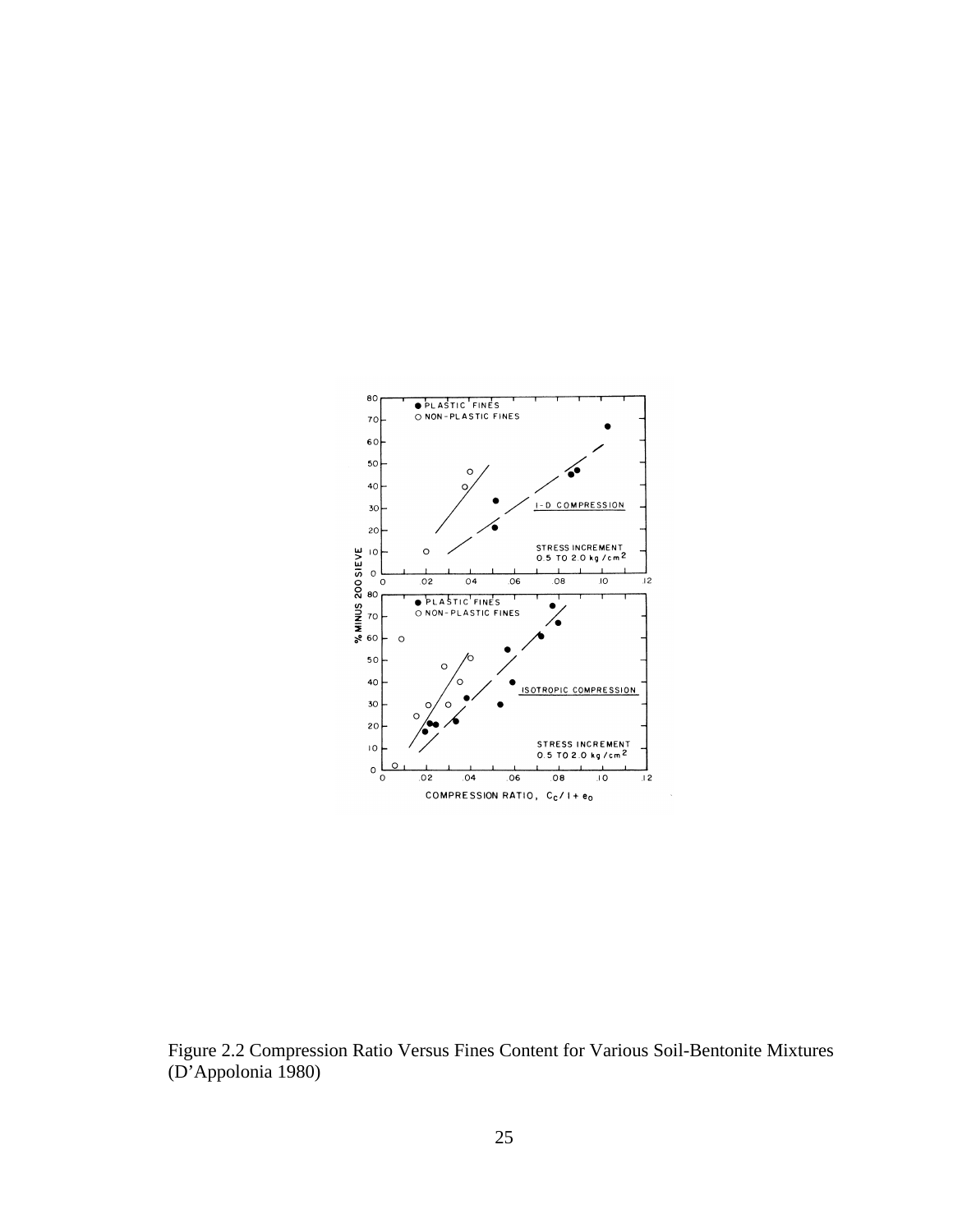

Figure 2.2 Compression Ratio Versus Fines Content for Various Soil-Bentonite Mixtures (D'Appolonia 1980)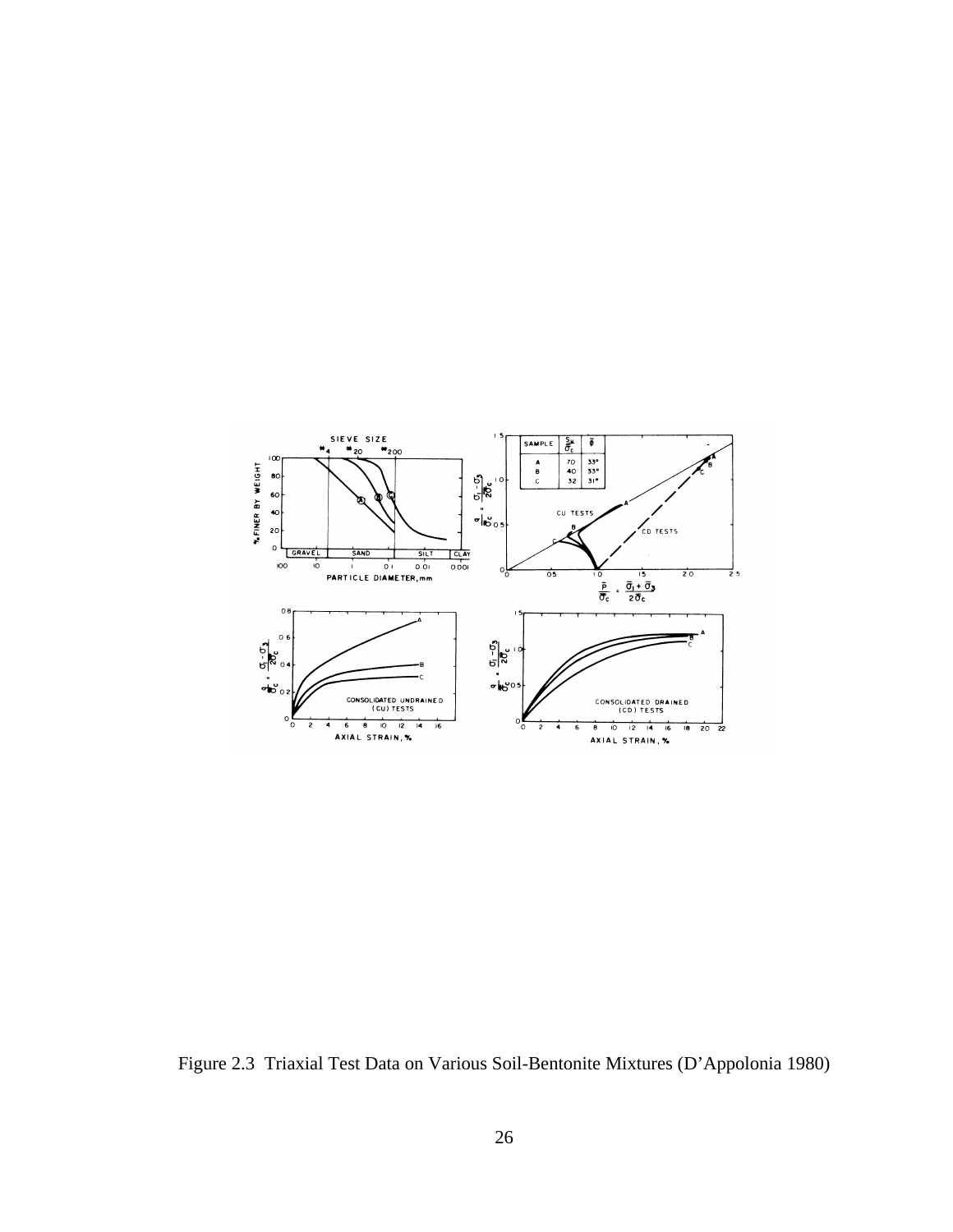

Figure 2.3 Triaxial Test Data on Various Soil-Bentonite Mixtures (D'Appolonia 1980)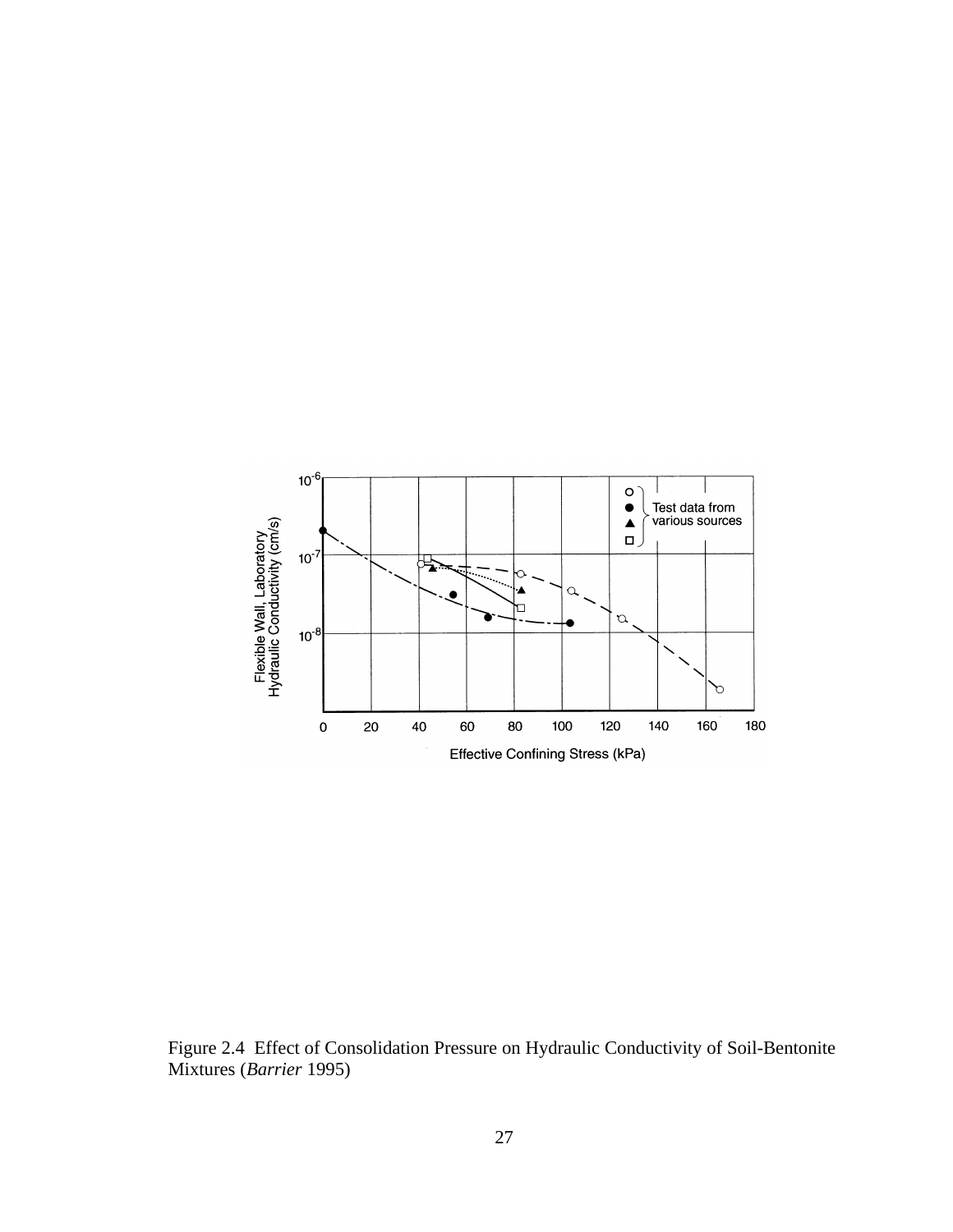

Figure 2.4 Effect of Consolidation Pressure on Hydraulic Conductivity of Soil-Bentonite Mixtures (*Barrier* 1995)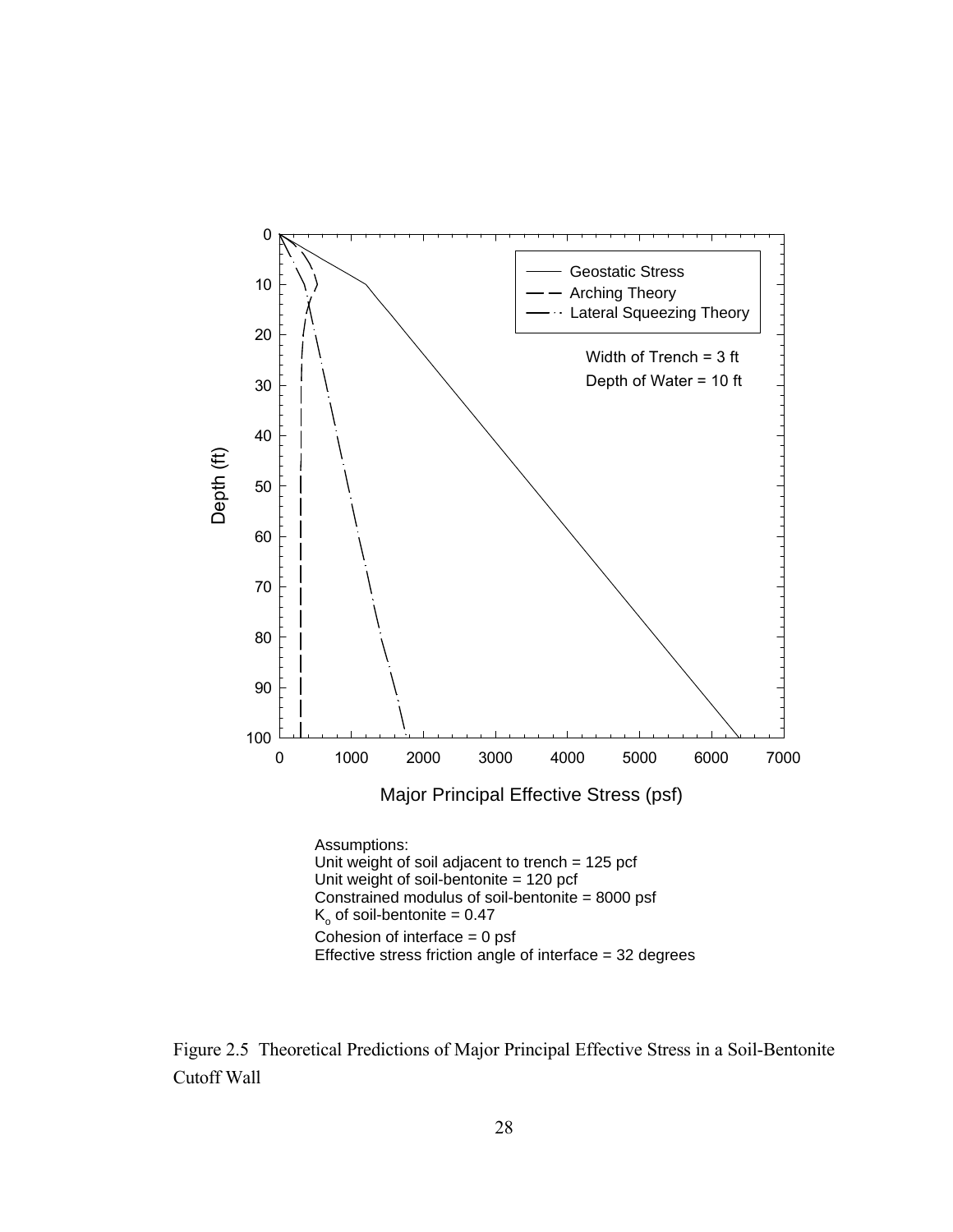

Figure 2.5 Theoretical Predictions of Major Principal Effective Stress in a Soil-Bentonite Cutoff Wall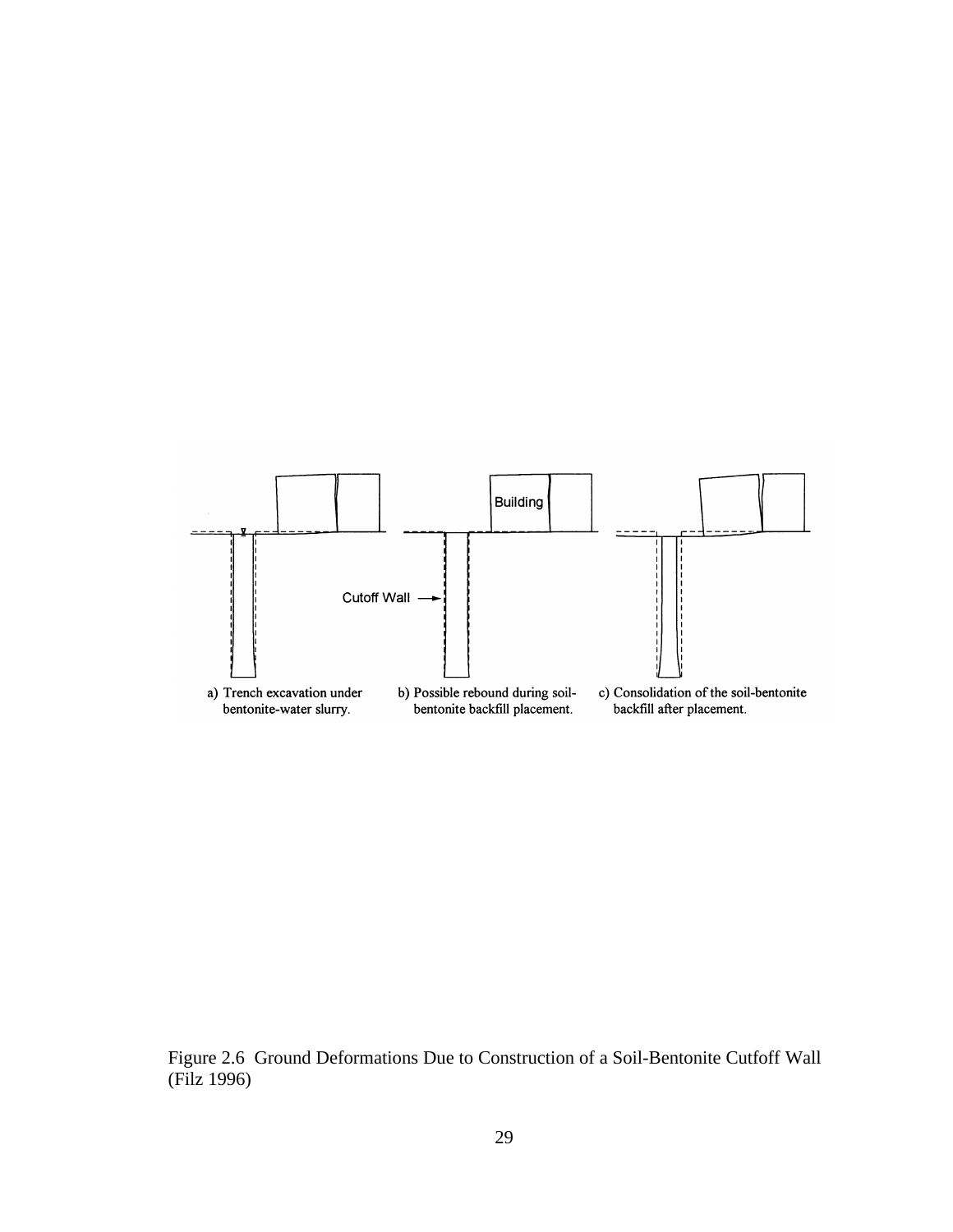

Figure 2.6 Ground Deformations Due to Construction of a Soil-Bentonite Cutfoff Wall (Filz 1996)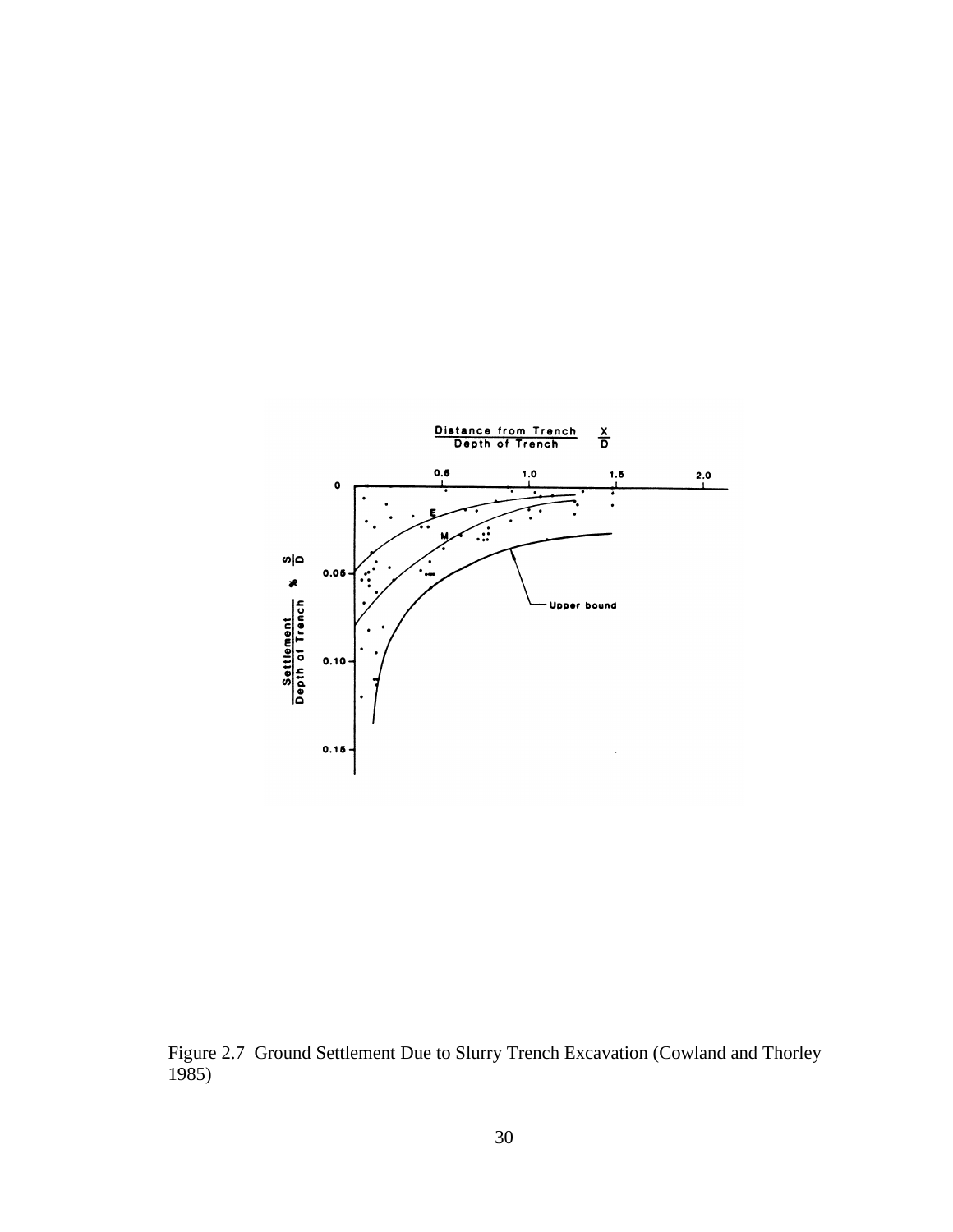

Figure 2.7 Ground Settlement Due to Slurry Trench Excavation (Cowland and Thorley 1985)